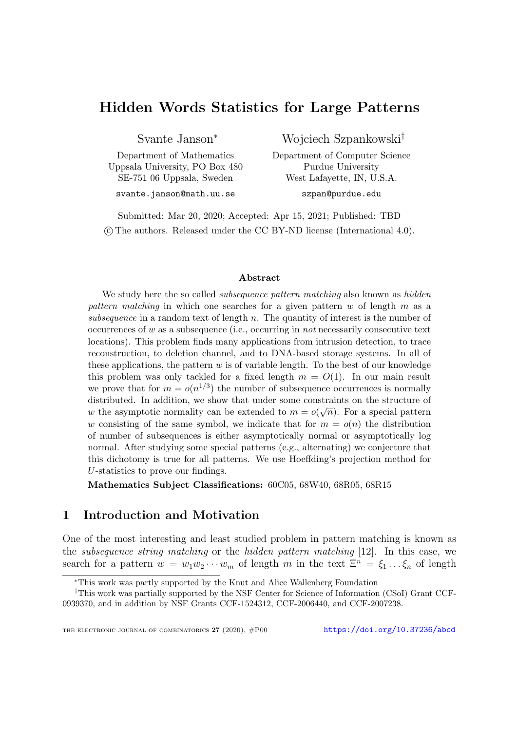# Hidden Words Statistics for Large Patterns

Svante Janson<sup>∗</sup>

Department of Mathematics Uppsala University, PO Box 480 SE-751 06 Uppsala, Sweden svante.janson@math.uu.se

Wojciech Szpankowski†

Department of Computer Science Purdue University West Lafayette, IN, U.S.A. szpan@purdue.edu

Submitted: Mar 20, 2020; Accepted: Apr 15, 2021; Published: TBD c The authors. Released under the CC BY-ND license (International 4.0).

#### Abstract

We study here the so called *subsequence pattern matching* also known as *hidden* pattern matching in which one searches for a given pattern  $w$  of length  $m$  as a subsequence in a random text of length  $n$ . The quantity of interest is the number of occurrences of  $w$  as a subsequence (i.e., occurring in not necessarily consecutive text locations). This problem finds many applications from intrusion detection, to trace reconstruction, to deletion channel, and to DNA-based storage systems. In all of these applications, the pattern  $w$  is of variable length. To the best of our knowledge this problem was only tackled for a fixed length  $m = O(1)$ . In our main result we prove that for  $m = o(n^{1/3})$  the number of subsequence occurrences is normally distributed. In addition, we show that under some constraints on the structure of w the asymptotic normality can be extended to  $m = o(\sqrt{n})$ . For a special pattern w consisting of the same symbol, we indicate that for  $m = o(n)$  the distribution of number of subsequences is either asymptotically normal or asymptotically log normal. After studying some special patterns (e.g., alternating) we conjecture that this dichotomy is true for all patterns. We use Hoeffding's projection method for U-statistics to prove our findings.

Mathematics Subject Classifications: 60C05, 68W40, 68R05, 68R15

# 1 Introduction and Motivation

One of the most interesting and least studied problem in pattern matching is known as the subsequence string matching or the hidden pattern matching [\[12\]](#page-24-0). In this case, we search for a pattern  $w = w_1w_2\cdots w_m$  of length m in the text  $\Xi^n = \xi_1 \dots \xi_n$  of length

<sup>∗</sup>This work was partly supported by the Knut and Alice Wallenberg Foundation

<sup>†</sup>This work was partially supported by the NSF Center for Science of Information (CSoI) Grant CCF-0939370, and in addition by NSF Grants CCF-1524312, CCF-2006440, and CCF-2007238.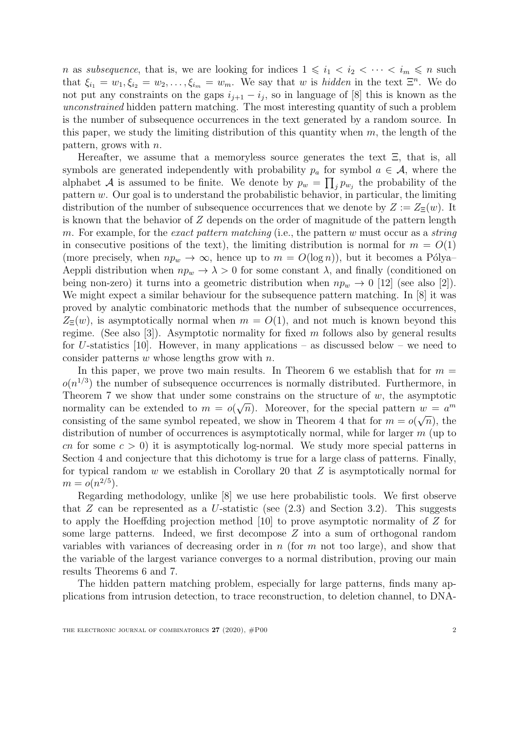n as *subsequence*, that is, we are looking for indices  $1 \leq i_1 < i_2 < \cdots < i_m \leq n$  such that  $\xi_{i_1} = w_1, \xi_{i_2} = w_2, \ldots, \xi_{i_m} = w_m$ . We say that w is hidden in the text  $\Xi^n$ . We do not put any constraints on the gaps  $i_{j+1} - i_j$ , so in language of [\[8\]](#page-24-1) this is known as the unconstrained hidden pattern matching. The most interesting quantity of such a problem is the number of subsequence occurrences in the text generated by a random source. In this paper, we study the limiting distribution of this quantity when  $m$ , the length of the pattern, grows with  $n$ .

Hereafter, we assume that a memoryless source generates the text Ξ, that is, all symbols are generated independently with probability  $p_a$  for symbol  $a \in \mathcal{A}$ , where the alphabet A is assumed to be finite. We denote by  $p_w = \prod_j p_{w_j}$  the probability of the pattern  $w$ . Our goal is to understand the probabilistic behavior, in particular, the limiting distribution of the number of subsequence occurrences that we denote by  $Z := Z_{\Xi}(w)$ . It is known that the behavior of Z depends on the order of magnitude of the pattern length m. For example, for the exact pattern matching (i.e., the pattern w must occur as a string in consecutive positions of the text), the limiting distribution is normal for  $m = O(1)$ (more precisely, when  $np_w \to \infty$ , hence up to  $m = O(\log n)$ ), but it becomes a Pólya– Aeppli distribution when  $np_w \to \lambda > 0$  for some constant  $\lambda$ , and finally (conditioned on being non-zero) it turns into a geometric distribution when  $np_w \rightarrow 0$  [\[12\]](#page-24-0) (see also [\[2\]](#page-24-2)). We might expect a similar behaviour for the subsequence pattern matching. In [\[8\]](#page-24-1) it was proved by analytic combinatoric methods that the number of subsequence occurrences,  $Z_{\Xi}(w)$ , is asymptotically normal when  $m = O(1)$ , and not much is known beyond this regime. (See also [\[3\]](#page-24-3)). Asymptotic normality for fixed m follows also by general results for U-statistics [\[10\]](#page-24-4). However, in many applications – as discussed below – we need to consider patterns  $w$  whose lengths grow with  $n$ .

In this paper, we prove two main results. In Theorem [6](#page-7-0) we establish that for  $m =$  $o(n^{1/3})$  the number of subsequence occurrences is normally distributed. Furthermore, in Theorem [7](#page-7-1) we show that under some constrains on the structure of w, the asymptotic normality can be extended to  $m = o(\sqrt{n})$ . Moreover, for the special pattern  $w = a^m$ consisting of the same symbol repeated, we show in Theorem [4](#page-5-0) that for  $m = o(\sqrt{n})$ , the distribution of number of occurrences is asymptotically normal, while for larger  $m$  (up to cn for some  $c > 0$ ) it is asymptotically log-normal. We study more special patterns in Section [4](#page-17-0) and conjecture that this dichotomy is true for a large class of patterns. Finally, for typical random  $w$  we establish in Corollary [20](#page-19-0) that  $Z$  is asymptotically normal for  $m = o(n^{2/5}).$ 

Regarding methodology, unlike [\[8\]](#page-24-1) we use here probabilistic tools. We first observe that  $Z$  can be represented as a U-statistic (see  $(2.3)$  and Section [3.2\)](#page-9-0). This suggests to apply the Hoeffding projection method [\[10\]](#page-24-4) to prove asymptotic normality of Z for some large patterns. Indeed, we first decompose Z into a sum of orthogonal random variables with variances of decreasing order in  $n$  (for  $m$  not too large), and show that the variable of the largest variance converges to a normal distribution, proving our main results Theorems [6](#page-7-0) and [7.](#page-7-1)

The hidden pattern matching problem, especially for large patterns, finds many applications from intrusion detection, to trace reconstruction, to deletion channel, to DNA-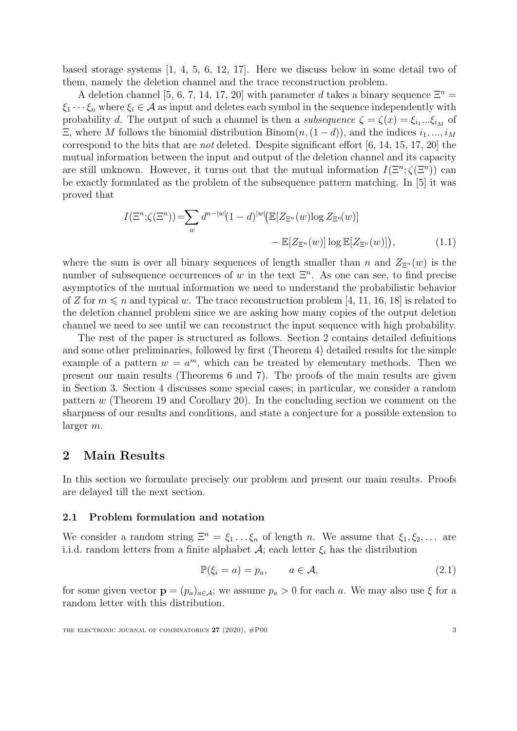based storage systems [\[1,](#page-24-5) [4,](#page-24-6) [5,](#page-24-7) [6,](#page-24-8) [12,](#page-24-0) [17\]](#page-24-9). Here we discuss below in some detail two of them, namely the deletion channel and the trace reconstruction problem.

A deletion channel [\[5,](#page-24-7) [6,](#page-24-8) [7,](#page-24-10) [14,](#page-24-11) [17,](#page-24-9) [20\]](#page-25-0) with parameter d takes a binary sequence  $\Xi^n$  =  $\xi_1 \cdots \xi_n$  where  $\xi_i \in \mathcal{A}$  as input and deletes each symbol in the sequence independently with probability d. The output of such a channel is then a *subsequence*  $\zeta = \zeta(x) = \xi_{i_1} \dots \xi_{i_M}$  of  $\Xi$ , where M follows the binomial distribution Binom $(n,(1-d))$ , and the indices  $i_1, ..., i_M$ correspond to the bits that are *not* deleted. Despite significant effort  $[6, 14, 15, 17, 20]$  $[6, 14, 15, 17, 20]$  $[6, 14, 15, 17, 20]$  $[6, 14, 15, 17, 20]$  $[6, 14, 15, 17, 20]$  $[6, 14, 15, 17, 20]$  $[6, 14, 15, 17, 20]$  $[6, 14, 15, 17, 20]$  the mutual information between the input and output of the deletion channel and its capacity are still unknown. However, it turns out that the mutual information  $I(\mathbb{E}^n; \zeta(\mathbb{E}^n))$  can be exactly formulated as the problem of the subsequence pattern matching. In [\[5\]](#page-24-7) it was proved that

$$
I(\Xi^n; \zeta(\Xi^n)) = \sum_{w} d^{n-|w|} (1-d)^{|w|} (\mathbb{E}[Z_{\Xi^n}(w) \log Z_{\Xi^n}(w)])
$$

$$
- \mathbb{E}[Z_{\Xi^n}(w)] \log \mathbb{E}[Z_{\Xi^n}(w)]), \tag{1.1}
$$

where the sum is over all binary sequences of length smaller than n and  $Z_{\Xi^n}(w)$  is the number of subsequence occurrences of w in the text  $\Xi<sup>n</sup>$ . As one can see, to find precise asymptotics of the mutual information we need to understand the probabilistic behavior of Z for  $m \leq n$  and typical w. The trace reconstruction problem [\[4,](#page-24-6) [11,](#page-24-13) [16,](#page-24-14) [18\]](#page-24-15) is related to the deletion channel problem since we are asking how many copies of the output deletion channel we need to see until we can reconstruct the input sequence with high probability.

The rest of the paper is structured as follows. Section [2](#page-2-0) contains detailed definitions and some other preliminaries, followed by first (Theorem [4\)](#page-5-0) detailed results for the simple example of a pattern  $w = a^m$ , which can be treated by elementary methods. Then we present our main results (Theorems [6](#page-7-0) and [7\)](#page-7-1). The proofs of the main results are given in Section [3.](#page-8-0) Section [4](#page-17-0) discusses some special cases; in particular, we consider a random pattern  $w$  (Theorem [19](#page-19-1) and Corollary [20\)](#page-19-0). In the concluding section we comment on the sharpness of our results and conditions, and state a conjecture for a possible extension to larger m.

# <span id="page-2-0"></span>2 Main Results

In this section we formulate precisely our problem and present our main results. Proofs are delayed till the next section.

## <span id="page-2-1"></span>2.1 Problem formulation and notation

We consider a random string  $\Xi^n = \xi_1 \dots \xi_n$  of length n. We assume that  $\xi_1, \xi_2, \dots$  are i.i.d. random letters from a finite alphabet  $\mathcal{A}$ ; each letter  $\xi_i$  has the distribution

$$
\mathbb{P}(\xi_i = a) = p_a, \qquad a \in \mathcal{A}, \tag{2.1}
$$

for some given vector  $\mathbf{p} = (p_a)_{a \in \mathcal{A}}$ ; we assume  $p_a > 0$  for each a. We may also use  $\xi$  for a random letter with this distribution.

THE ELECTRONIC JOURNAL OF COMBINATORICS  $27$  (2020),  $\#P00$  3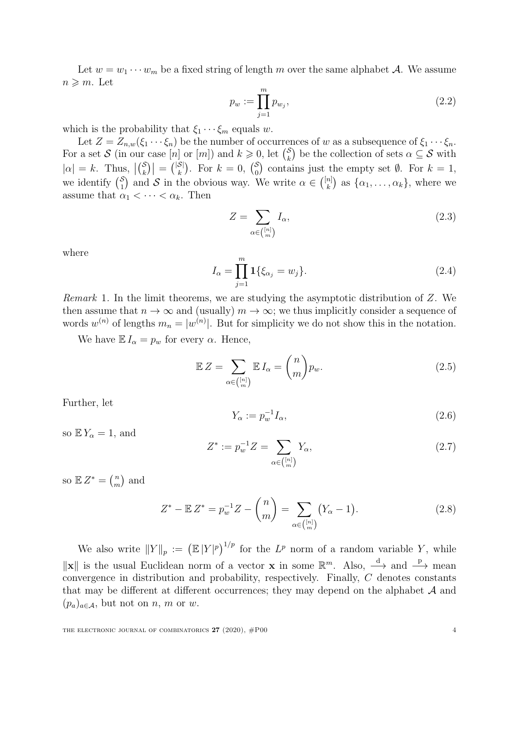Let  $w = w_1 \cdots w_m$  be a fixed string of length m over the same alphabet A. We assume  $n \geqslant m$ . Let

$$
p_w := \prod_{j=1}^m p_{w_j},\tag{2.2}
$$

which is the probability that  $\xi_1 \cdots \xi_m$  equals w.

Let  $Z = Z_{n,w}(\xi_1 \cdots \xi_n)$  be the number of occurrences of w as a subsequence of  $\xi_1 \cdots \xi_n$ . For a set S (in our case [n] or [m]) and  $k \geq 0$ , let  $\binom{S}{k}$  $\binom{S}{k}$  be the collection of sets  $\alpha \subseteq S$  with  $|\alpha| = k$ . Thus,  $|{S \choose k}$  $\binom{\mathcal{S}}{k}$  =  $\binom{|\mathcal{S}|}{k}$  $\binom{S}{k}$ . For  $k=0, \binom{S}{0}$  $\binom{S}{0}$  contains just the empty set  $\emptyset$ . For  $k=1$ , we identify  $\binom{S}{1}$  $\binom{S}{1}$  and S in the obvious way. We write  $\alpha \in \binom{[n]}{k}$  $\binom{n}{k}$  as  $\{\alpha_1, \ldots, \alpha_k\}$ , where we assume that  $\alpha_1 < \cdots < \alpha_k$ . Then

<span id="page-3-0"></span>
$$
Z = \sum_{\alpha \in \binom{[n]}{m}} I_{\alpha},\tag{2.3}
$$

where

$$
I_{\alpha} = \prod_{j=1}^{m} \mathbf{1} \{ \xi_{\alpha_j} = w_j \}.
$$
 (2.4)

Remark 1. In the limit theorems, we are studying the asymptotic distribution of Z. We then assume that  $n \to \infty$  and (usually)  $m \to \infty$ ; we thus implicitly consider a sequence of words  $w^{(n)}$  of lengths  $m_n = |w^{(n)}|$ . But for simplicity we do not show this in the notation.

We have  $\mathbb{E} I_{\alpha} = p_w$  for every  $\alpha$ . Hence,

<span id="page-3-2"></span>
$$
\mathbb{E} Z = \sum_{\alpha \in \binom{[n]}{m}} \mathbb{E} I_{\alpha} = \binom{n}{m} p_w.
$$
 (2.5)

Further, let

$$
Y_{\alpha} := p_w^{-1} I_{\alpha},\tag{2.6}
$$

so  $\mathbb{E} Y_\alpha = 1$ , and

<span id="page-3-1"></span>
$$
Z^* := p_w^{-1} Z = \sum_{\alpha \in \binom{[n]}{m}} Y_\alpha,\tag{2.7}
$$

so  $\mathbb{E} Z^* = \binom{n}{m}$  $\binom{n}{m}$  and

$$
Z^* - \mathbb{E} Z^* = p_w^{-1} Z - \binom{n}{m} = \sum_{\alpha \in \binom{[n]}{m}} \left( Y_\alpha - 1 \right). \tag{2.8}
$$

We also write  $||Y||_p := (||X||^p)^{1/p}$  for the  $L^p$  norm of a random variable Y, while  $\|\mathbf{x}\|$  is the usual Euclidean norm of a vector **x** in some  $\mathbb{R}^m$ . Also,  $\stackrel{d}{\longrightarrow}$  and  $\stackrel{p}{\longrightarrow}$  mean convergence in distribution and probability, respectively. Finally, C denotes constants that may be different at different occurrences; they may depend on the alphabet  $A$  and  $(p_a)_{a \in \mathcal{A}}$ , but not on n, m or w.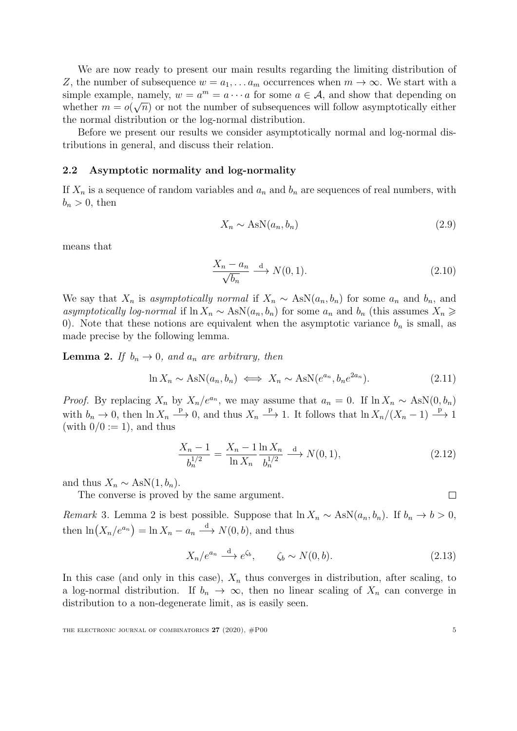We are now ready to present our main results regarding the limiting distribution of Z, the number of subsequence  $w = a_1, \ldots a_m$  occurrences when  $m \to \infty$ . We start with a simple example, namely,  $w = a^m = a \cdots a$  for some  $a \in \mathcal{A}$ , and show that depending on whether  $m = o(\sqrt{n})$  or not the number of subsequences will follow asymptotically either the normal distribution or the log-normal distribution.

Before we present our results we consider asymptotically normal and log-normal distributions in general, and discuss their relation.

#### 2.2 Asymptotic normality and log-normality

If  $X_n$  is a sequence of random variables and  $a_n$  and  $b_n$  are sequences of real numbers, with  $b_n > 0$ , then

$$
X_n \sim \text{AsN}(a_n, b_n) \tag{2.9}
$$

means that

$$
\frac{X_n - a_n}{\sqrt{b_n}} \xrightarrow{d} N(0, 1). \tag{2.10}
$$

We say that  $X_n$  is asymptotically normal if  $X_n \sim \text{AsN}(a_n, b_n)$  for some  $a_n$  and  $b_n$ , and asymptotically log-normal if  $\ln X_n \sim \text{AsN}(a_n, b_n)$  for some  $a_n$  and  $b_n$  (this assumes  $X_n \geq$ 0). Note that these notions are equivalent when the asymptotic variance  $b_n$  is small, as made precise by the following lemma.

<span id="page-4-0"></span>**Lemma 2.** If  $b_n \to 0$ , and  $a_n$  are arbitrary, then

$$
\ln X_n \sim \text{AsN}(a_n, b_n) \iff X_n \sim \text{AsN}(e^{a_n}, b_n e^{2a_n}). \tag{2.11}
$$

*Proof.* By replacing  $X_n$  by  $X_n/e^{a_n}$ , we may assume that  $a_n = 0$ . If  $\ln X_n \sim \text{AsN}(0, b_n)$ with  $b_n \to 0$ , then  $\ln X_n \stackrel{\text{p}}{\longrightarrow} 0$ , and thus  $X_n \stackrel{\text{p}}{\longrightarrow} 1$ . It follows that  $\ln X_n/(X_n-1) \stackrel{\text{p}}{\longrightarrow} 1$ (with  $0/0 := 1$ ), and thus

$$
\frac{X_n - 1}{b_n^{1/2}} = \frac{X_n - 1}{\ln X_n} \frac{\ln X_n}{b_n^{1/2}} \xrightarrow{d} N(0, 1),
$$
\n(2.12)

and thus  $X_n \sim \text{AsN}(1, b_n)$ .

The converse is proved by the same argument.

 $\Box$ 

<span id="page-4-1"></span>Remark 3. Lemma [2](#page-4-0) is best possible. Suppose that  $\ln X_n \sim \text{AsN}(a_n, b_n)$ . If  $b_n \to b > 0$ , then  $\ln(X_n/e^{a_n}) = \ln X_n - a_n \stackrel{d}{\longrightarrow} N(0, b)$ , and thus

$$
X_n/e^{a_n} \xrightarrow{d} e^{\zeta_b}, \qquad \zeta_b \sim N(0, b). \tag{2.13}
$$

In this case (and only in this case),  $X_n$  thus converges in distribution, after scaling, to a log-normal distribution. If  $b_n \to \infty$ , then no linear scaling of  $X_n$  can converge in distribution to a non-degenerate limit, as is easily seen.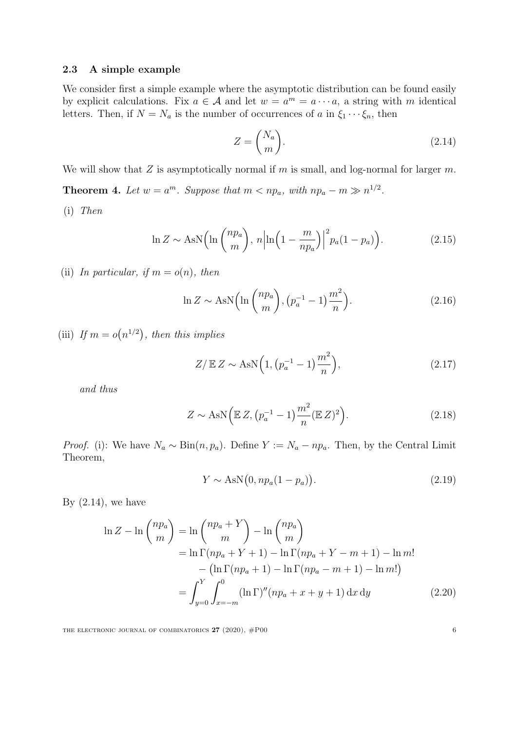#### <span id="page-5-11"></span>2.3 A simple example

We consider first a simple example where the asymptotic distribution can be found easily by explicit calculations. Fix  $a \in \mathcal{A}$  and let  $w = a^m = a \cdots a$ , a string with m identical letters. Then, if  $N = N_a$  is the number of occurrences of a in  $\xi_1 \cdots \xi_n$ , then

<span id="page-5-5"></span><span id="page-5-2"></span>
$$
Z = \binom{N_a}{m}.\tag{2.14}
$$

<span id="page-5-0"></span>We will show that Z is asymptotically normal if m is small, and log-normal for larger  $m$ .

**Theorem 4.** Let  $w = a^m$ . Suppose that  $m < np_a$ , with  $np_a - m \gg n^{1/2}$ .

<span id="page-5-1"></span>(i) Then

$$
\ln Z \sim \text{AsN}\left(\ln\left(\frac{np_a}{m}\right), n\left|\ln\left(1 - \frac{m}{np_a}\right)\right|^2 p_a (1 - p_a)\right). \tag{2.15}
$$

<span id="page-5-6"></span>(ii) In particular, if  $m = o(n)$ , then

$$
\ln Z \sim \text{AsN}\Big(\ln\binom{np_a}{m}, \left(p_a^{-1} - 1\right)\frac{m^2}{n}\Big). \tag{2.16}
$$

<span id="page-5-8"></span>(iii) If  $m = o(n^{1/2})$ , then this implies

<span id="page-5-9"></span><span id="page-5-7"></span>
$$
Z/\mathbb{E} Z \sim \text{AsN}\Big(1, \big(p_a^{-1} - 1\big)\frac{m^2}{n}\Big),\tag{2.17}
$$

and thus

$$
Z \sim \text{AsN}\Big(\mathbb{E}\,Z,\big(p_a^{-1} - 1\big)\frac{m^2}{n}(\mathbb{E}\,Z)^2\Big). \tag{2.18}
$$

*Proof.* [\(i\):](#page-5-1) We have  $N_a \sim \text{Bin}(n, p_a)$ . Define  $Y := N_a - np_a$ . Then, by the Central Limit Theorem,

<span id="page-5-10"></span><span id="page-5-4"></span><span id="page-5-3"></span>
$$
Y \sim \text{AsN}\big(0, np_a(1 - p_a)\big). \tag{2.19}
$$

By  $(2.14)$ , we have

$$
\ln Z - \ln \binom{np_a}{m} = \ln \binom{np_a + Y}{m} - \ln \binom{np_a}{m}
$$
  
=  $\ln \Gamma(np_a + Y + 1) - \ln \Gamma(np_a + Y - m + 1) - \ln m!$   
-  $(\ln \Gamma(np_a + 1) - \ln \Gamma(np_a - m + 1) - \ln m!)$   
=  $\int_{y=0}^{Y} \int_{x=-m}^{0} (\ln \Gamma)''(np_a + x + y + 1) dx dy$  (2.20)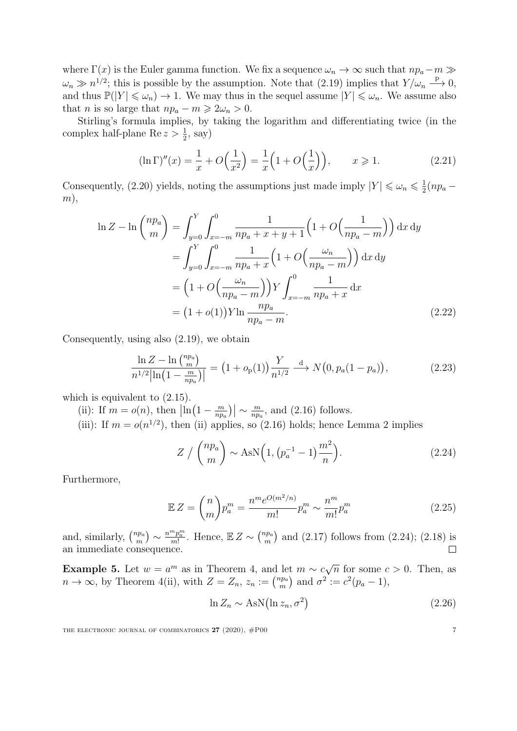where  $\Gamma(x)$  is the Euler gamma function. We fix a sequence  $\omega_n \to \infty$  such that  $np_a-m \gg$  $\omega_n \gg n^{1/2}$ ; this is possible by the assumption. Note that  $(2.19)$  implies that  $Y/\omega_n \longrightarrow 0$ , and thus  $\mathbb{P}(|Y| \leq \omega_n) \to 1$ . We may thus in the sequel assume  $|Y| \leq \omega_n$ . We assume also that *n* is so large that  $np_a - m \geq 2\omega_n > 0$ .

Stirling's formula implies, by taking the logarithm and differentiating twice (in the complex half-plane  $\text{Re } z > \frac{1}{2}$ , say)

$$
(\ln \Gamma)''(x) = \frac{1}{x} + O\Big(\frac{1}{x^2}\Big) = \frac{1}{x} \Big(1 + O\Big(\frac{1}{x}\Big)\Big), \qquad x \geqslant 1. \tag{2.21}
$$

Consequently, [\(2.20\)](#page-5-4) yields, noting the assumptions just made imply  $|Y| \leq \omega_n \leq \frac{1}{2}$  $rac{1}{2}(np_a (m),$ 

$$
\ln Z - \ln \binom{np_a}{m} = \int_{y=0}^{Y} \int_{x=-m}^{0} \frac{1}{np_a + x + y + 1} \left( 1 + O\left(\frac{1}{np_a - m}\right) \right) dx dy
$$
  
= 
$$
\int_{y=0}^{Y} \int_{x=-m}^{0} \frac{1}{np_a + x} \left( 1 + O\left(\frac{\omega_n}{np_a - m}\right) \right) dx dy
$$
  
= 
$$
\left( 1 + O\left(\frac{\omega_n}{np_a - m}\right) \right) Y \int_{x=-m}^{0} \frac{1}{np_a + x} dx
$$
  
= 
$$
(1 + o(1)) Y \ln \frac{np_a}{np_a - m}.
$$
 (2.22)

Consequently, using also [\(2.19\)](#page-5-3), we obtain

$$
\frac{\ln Z - \ln {n p_a \choose m}}{n^{1/2} |\ln \left(1 - \frac{m}{n p_a}\right)|} = \left(1 + o_p(1)\right) \frac{Y}{n^{1/2}} \stackrel{\text{d}}{\longrightarrow} N\left(0, p_a(1 - p_a)\right),\tag{2.23}
$$

which is equivalent to  $(2.15)$ .

- [\(ii\):](#page-5-6) If  $m = o(n)$ , then  $\left| \ln \left( 1 \frac{m}{np} \right) \right|$  $\left\lfloor \frac{m}{np_a}\right\rfloor\right\rfloor \sim \frac{m}{np_a}$  $\frac{m}{np_a}$ , and [\(2.16\)](#page-5-7) follows.
- [\(iii\):](#page-5-8) If  $m = o(n^{1/2})$  $m = o(n^{1/2})$  $m = o(n^{1/2})$ , then [\(ii\)](#page-5-6) applies, so [\(2.16\)](#page-5-7) holds; hence Lemma 2 implies

$$
Z / \binom{np_a}{m} \sim \text{AsN}\Big(1, \big(p_a^{-1} - 1\big)\frac{m^2}{n}\Big). \tag{2.24}
$$

Furthermore,

$$
\mathbb{E}Z = \binom{n}{m} p_a^m = \frac{n^m e^{O(m^2/n)}}{m!} p_a^m \sim \frac{n^m}{m!} p_a^m \tag{2.25}
$$

 ${^{np_a}_{m}}\rangle \sim \frac{n^mp_a^m}{m!}$ and, similarly,  $\binom{np_a}{m}$  $\frac{m p_a^m}{m!}$ . Hence,  $\mathbb{E} Z \sim {n p_a \choose m}$  $_{m}^{np_a}$  and [\(2.17\)](#page-5-9) follows from [\(2.24\)](#page-6-0); [\(2.18\)](#page-5-10) is  $\Box$ an immediate consequence.

<span id="page-6-1"></span>**Example 5.** Let  $w = a^m$  as in Theorem [4,](#page-5-0) and let  $m \sim c \sqrt{a}$  $\overline{n}$  for some  $c > 0$ . Then, as  $n \to \infty$ , by Theorem [4](#page-5-0)[\(ii\),](#page-5-6) with  $Z = Z_n$ ,  $z_n := \binom{n p_a}{m}$  $\binom{ap_a}{m}$  and  $\sigma^2 := c^2(p_a - 1),$ 

$$
\ln Z_n \sim \text{AsN}\big(\ln z_n, \sigma^2\big) \tag{2.26}
$$

<span id="page-6-0"></span>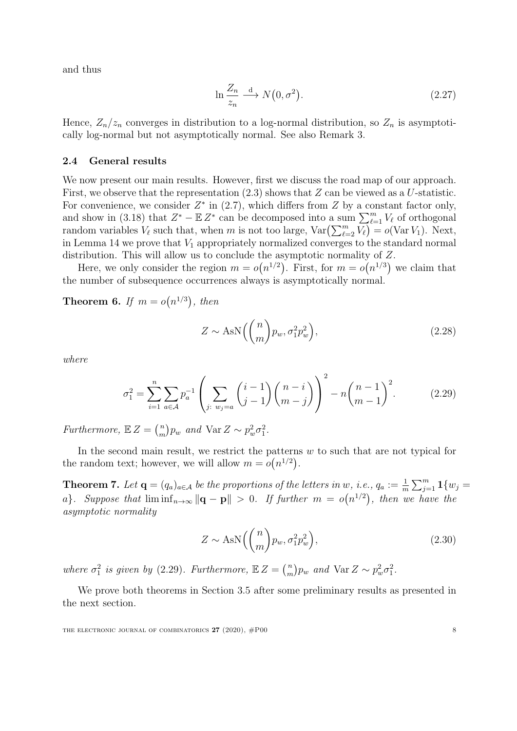and thus

$$
\ln \frac{Z_n}{z_n} \xrightarrow{d} N(0, \sigma^2). \tag{2.27}
$$

Hence,  $Z_n/z_n$  converges in distribution to a log-normal distribution, so  $Z_n$  is asymptotically log-normal but not asymptotically normal. See also Remark [3.](#page-4-1)

#### 2.4 General results

We now present our main results. However, first we discuss the road map of our approach. First, we observe that the representation  $(2.3)$  shows that Z can be viewed as a U-statistic. For convenience, we consider  $Z^*$  in [\(2.7\)](#page-3-1), which differs from  $Z$  by a constant factor only, and show in [\(3.18\)](#page-10-0) that  $Z^* - \mathbb{E} Z^*$  can be decomposed into a sum  $\sum_{\ell=1}^m V_\ell$  of orthogonal random variables  $V_{\ell}$  such that, when m is not too large,  $\text{Var}\left(\sum_{\ell=2}^{m} \overline{V_{\ell}}\right) = o(\text{Var } V_1)$ . Next, in Lemma [14](#page-14-0) we prove that  $V_1$  appropriately normalized converges to the standard normal distribution. This will allow us to conclude the asymptotic normality of Z.

Here, we only consider the region  $m = o(n^{1/2})$ . First, for  $m = o(n^{1/3})$  we claim that the number of subsequence occurrences always is asymptotically normal.

<span id="page-7-0"></span>**Theorem 6.** If  $m = o(n^{1/3})$ , then

<span id="page-7-2"></span>
$$
Z \sim \text{AsN}\left(\binom{n}{m}p_w, \sigma_1^2 p_w^2\right),\tag{2.28}
$$

where

$$
\sigma_1^2 = \sum_{i=1}^n \sum_{a \in \mathcal{A}} p_a^{-1} \left( \sum_{j: w_j = a} {i-1 \choose j-1} {n-i \choose m-j} \right)^2 - n {n-1 \choose m-1}^2.
$$
 (2.29)

Furthermore,  $\mathbb{E} Z = \binom{n}{m}$  $\binom{n}{m} p_w$  and  $\text{Var } Z \sim p_w^2 \sigma_1^2$ .

In the second main result, we restrict the patterns  $w$  to such that are not typical for the random text; however, we will allow  $m = o(n^{1/2})$ .

<span id="page-7-1"></span>**Theorem 7.** Let  $\mathbf{q} = (q_a)_{a \in \mathcal{A}}$  be the proportions of the letters in w, i.e.,  $q_a := \frac{1}{m} \sum_{j=1}^m \mathbf{1}\{w_j =$ a}. Suppose that  $\liminf_{n\to\infty} ||\mathbf{q} - \mathbf{p}|| > 0$ . If further  $m = o(n^{1/2})$ , then we have the asymptotic normality

$$
Z \sim \text{AsN}\left(\binom{n}{m}p_w, \sigma_1^2 p_w^2\right),\tag{2.30}
$$

where  $\sigma_1^2$  is given by [\(2.29\)](#page-7-2). Furthermore,  $\mathbb{E} Z = \binom{n}{m}$  $\binom{n}{m} p_w$  and  $\text{Var } Z \sim p_w^2 \sigma_1^2$ .

We prove both theorems in Section [3.5](#page-15-0) after some preliminary results as presented in the next section.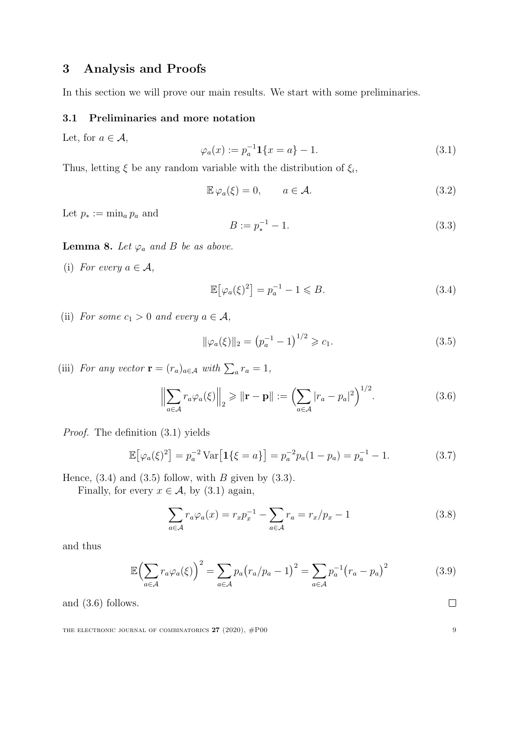# <span id="page-8-0"></span>3 Analysis and Proofs

In this section we will prove our main results. We start with some preliminaries.

### 3.1 Preliminaries and more notation

<span id="page-8-1"></span>Let, for  $a \in \mathcal{A}$ ,

$$
\varphi_a(x) := p_a^{-1} \mathbf{1} \{ x = a \} - 1. \tag{3.1}
$$

Thus, letting  $\xi$  be any random variable with the distribution of  $\xi_i$ ,

<span id="page-8-4"></span>
$$
\mathbb{E}\,\varphi_a(\xi) = 0, \qquad a \in \mathcal{A}.\tag{3.2}
$$

Let  $p_* := \min_a p_a$  and

<span id="page-8-6"></span><span id="page-8-2"></span>
$$
B := p_*^{-1} - 1.
$$
\n(3.3)

**Lemma 8.** Let  $\varphi_a$  and B be as above.

(i) For every  $a \in \mathcal{A}$ ,

<span id="page-8-3"></span>
$$
\mathbb{E}\left[\varphi_a(\xi)^2\right] = p_a^{-1} - 1 \leqslant B. \tag{3.4}
$$

(ii) For some  $c_1 > 0$  and every  $a \in \mathcal{A}$ ,

<span id="page-8-5"></span>
$$
\|\varphi_a(\xi)\|_2 = \left(p_a^{-1} - 1\right)^{1/2} \geqslant c_1. \tag{3.5}
$$

(iii) For any vector  $\mathbf{r} = (r_a)_{a \in \mathcal{A}}$  with  $\sum_a r_a = 1$ ,

<span id="page-8-7"></span>
$$
\left\| \sum_{a \in \mathcal{A}} r_a \varphi_a(\xi) \right\|_2 \geqslant \|\mathbf{r} - \mathbf{p}\| := \left( \sum_{a \in \mathcal{A}} |r_a - p_a|^2 \right)^{1/2}.
$$
 (3.6)

Proof. The definition [\(3.1\)](#page-8-1) yields

$$
\mathbb{E}[\varphi_a(\xi)^2] = p_a^{-2} \operatorname{Var}[1\{\xi = a\}] = p_a^{-2} p_a (1 - p_a) = p_a^{-1} - 1. \tag{3.7}
$$

Hence,  $(3.4)$  and  $(3.5)$  follow, with B given by  $(3.3)$ .

Finally, for every  $x \in \mathcal{A}$ , by [\(3.1\)](#page-8-1) again,

$$
\sum_{a \in \mathcal{A}} r_a \varphi_a(x) = r_x p_x^{-1} - \sum_{a \in \mathcal{A}} r_a = r_x / p_x - 1 \tag{3.8}
$$

and thus

$$
\mathbb{E}\left(\sum_{a\in\mathcal{A}}r_a\varphi_a(\xi)\right)^2 = \sum_{a\in\mathcal{A}}p_a\big(r_a/p_a-1\big)^2 = \sum_{a\in\mathcal{A}}p_a^{-1}\big(r_a-p_a\big)^2\tag{3.9}
$$

and [\(3.6\)](#page-8-5) follows.

THE ELECTRONIC JOURNAL OF COMBINATORICS  $27$  (2020),  $\#P00$  9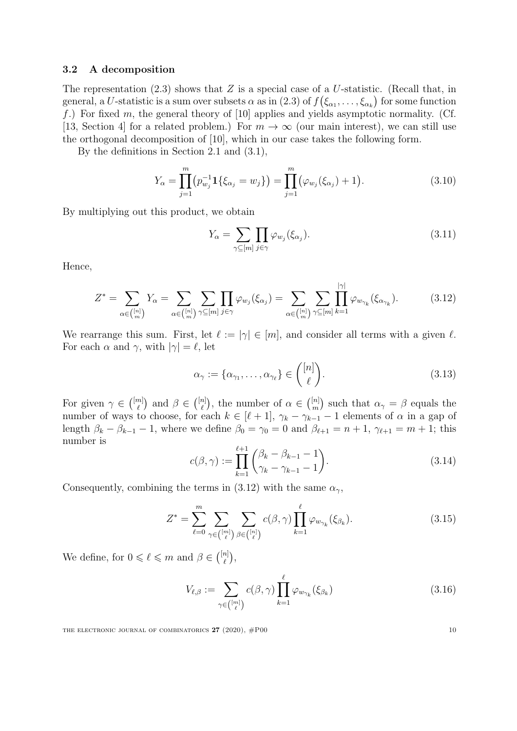#### <span id="page-9-0"></span>3.2 A decomposition

The representation  $(2.3)$  shows that Z is a special case of a U-statistic. (Recall that, in general, a U-statistic is a sum over subsets  $\alpha$  as in  $(2.3)$  of  $f(\xi_{\alpha_1},\ldots,\xi_{\alpha_k})$  for some function f.) For fixed m, the general theory of [\[10\]](#page-24-4) applies and yields asymptotic normality. (Cf. [\[13,](#page-24-16) Section 4] for a related problem.) For  $m \to \infty$  (our main interest), we can still use the orthogonal decomposition of [\[10\]](#page-24-4), which in our case takes the following form.

By the definitions in Section [2.1](#page-2-1) and [\(3.1\)](#page-8-1),

$$
Y_{\alpha} = \prod_{j=1}^{m} (p_{w_j}^{-1} 1\{\xi_{\alpha_j} = w_j\}) = \prod_{j=1}^{m} (\varphi_{w_j}(\xi_{\alpha_j}) + 1).
$$
 (3.10)

By multiplying out this product, we obtain

$$
Y_{\alpha} = \sum_{\gamma \subseteq [m]} \prod_{j \in \gamma} \varphi_{w_j}(\xi_{\alpha_j}). \tag{3.11}
$$

Hence,

<span id="page-9-1"></span>
$$
Z^* = \sum_{\alpha \in \binom{[n]}{m}} Y_{\alpha} = \sum_{\alpha \in \binom{[n]}{m}} \sum_{\gamma \subseteq [m]} \prod_{j \in \gamma} \varphi_{w_j}(\xi_{\alpha_j}) = \sum_{\alpha \in \binom{[n]}{m}} \sum_{\gamma \subseteq [m]} \prod_{k=1}^{|\gamma|} \varphi_{w_{\gamma_k}}(\xi_{\alpha_{\gamma_k}}). \tag{3.12}
$$

We rearrange this sum. First, let  $\ell := |\gamma| \in [m]$ , and consider all terms with a given  $\ell$ . For each  $\alpha$  and  $\gamma$ , with  $|\gamma| = \ell$ , let

$$
\alpha_{\gamma} := {\alpha_{\gamma_1}, \dots, \alpha_{\gamma_\ell}} \in \binom{[n]}{\ell}.
$$
\n(3.13)

<span id="page-9-3"></span>For given  $\gamma \in \binom{[m]}{\ell}$  $\binom{n}{\ell}$  and  $\beta \in \binom{[n]}{\ell}$  $\binom{n}{\ell}$ , the number of  $\alpha \in \binom{[n]}{m}$  $\binom{[n]}{m}$  such that  $\alpha_{\gamma} = \beta$  equals the number of ways to choose, for each  $k \in [\ell + 1]$ ,  $\gamma_k - \gamma_{k-1} - 1$  elements of  $\alpha$  in a gap of length  $\beta_k - \beta_{k-1} - 1$ , where we define  $\beta_0 = \gamma_0 = 0$  and  $\beta_{\ell+1} = n + 1$ ,  $\gamma_{\ell+1} = m + 1$ ; this number is

<span id="page-9-2"></span>
$$
c(\beta, \gamma) := \prod_{k=1}^{\ell+1} \binom{\beta_k - \beta_{k-1} - 1}{\gamma_k - \gamma_{k-1} - 1}.
$$
\n(3.14)

Consequently, combining the terms in [\(3.12\)](#page-9-1) with the same  $\alpha_{\gamma}$ ,

$$
Z^* = \sum_{\ell=0}^m \sum_{\gamma \in \binom{[m]}{\ell}} \sum_{\beta \in \binom{[n]}{\ell}} c(\beta, \gamma) \prod_{k=1}^\ell \varphi_{w_{\gamma_k}}(\xi_{\beta_k}). \tag{3.15}
$$

We define, for  $0 \leq \ell \leq m$  and  $\beta \in \binom{[n]}{\ell}$  $_{\ell}^{n]}\big),$ 

<span id="page-9-4"></span>
$$
V_{\ell,\beta} := \sum_{\gamma \in \binom{[m]}{\ell}} c(\beta,\gamma) \prod_{k=1}^{\ell} \varphi_{w_{\gamma_k}}(\xi_{\beta_k}) \tag{3.16}
$$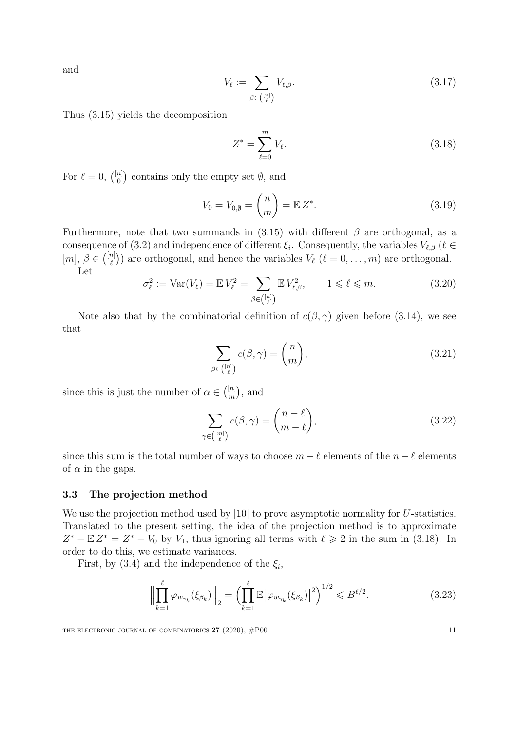<span id="page-10-3"></span>and

$$
V_{\ell} := \sum_{\beta \in \binom{[n]}{\ell}} V_{\ell, \beta}.
$$
\n(3.17)

Thus [\(3.15\)](#page-9-2) yields the decomposition

<span id="page-10-0"></span>
$$
Z^* = \sum_{\ell=0}^m V_\ell.
$$
 (3.18)

For  $\ell = 0$ ,  $\binom{[n]}{0}$  $\binom{n}{0}$  contains only the empty set  $\emptyset$ , and

$$
V_0 = V_{0,\emptyset} = \binom{n}{m} = \mathbb{E} Z^*.
$$
\n
$$
(3.19)
$$

Furthermore, note that two summands in  $(3.15)$  with different  $\beta$  are orthogonal, as a consequence of [\(3.2\)](#page-8-6) and independence of different  $\xi_i$ . Consequently, the variables  $V_{\ell,\beta}$  ( $\ell \in$  $[m], \beta \in \binom{[n]}{\ell}$  $\binom{n}{\ell}$ ) are orthogonal, and hence the variables  $V_{\ell}$   $(\ell = 0, \ldots, m)$  are orthogonal. Let

<span id="page-10-4"></span>
$$
\sigma_{\ell}^2 := \text{Var}(V_{\ell}) = \mathbb{E} V_{\ell}^2 = \sum_{\beta \in \binom{[n]}{\ell}} \mathbb{E} V_{\ell,\beta}^2, \qquad 1 \leqslant \ell \leqslant m. \tag{3.20}
$$

Note also that by the combinatorial definition of  $c(\beta, \gamma)$  given before [\(3.14\)](#page-9-3), we see that

<span id="page-10-5"></span>
$$
\sum_{\beta \in \binom{[n]}{\ell}} c(\beta, \gamma) = \binom{n}{m},\tag{3.21}
$$

since this is just the number of  $\alpha \in \binom{[n]}{m}$  $\binom{[n]}{m}$ , and

$$
\sum_{\gamma \in \binom{[m]}{\ell}} c(\beta, \gamma) = \binom{n - \ell}{m - \ell},\tag{3.22}
$$

since this sum is the total number of ways to choose  $m - \ell$  elements of the  $n - \ell$  elements of  $\alpha$  in the gaps.

#### 3.3 The projection method

We use the projection method used by [\[10\]](#page-24-4) to prove asymptotic normality for U-statistics. Translated to the present setting, the idea of the projection method is to approximate  $Z^* - \mathbb{E} Z^* = Z^* - V_0$  by  $V_1$ , thus ignoring all terms with  $\ell \geq 2$  in the sum in [\(3.18\)](#page-10-0). In order to do this, we estimate variances.

First, by [\(3.4\)](#page-8-2) and the independence of the  $\xi_i$ ,

<span id="page-10-1"></span>
$$
\left\| \prod_{k=1}^{\ell} \varphi_{w_{\gamma_k}}(\xi_{\beta_k}) \right\|_2 = \left( \prod_{k=1}^{\ell} \mathbb{E} \left| \varphi_{w_{\gamma_k}}(\xi_{\beta_k}) \right|^2 \right)^{1/2} \leqslant B^{\ell/2}.
$$
 (3.23)

<span id="page-10-2"></span>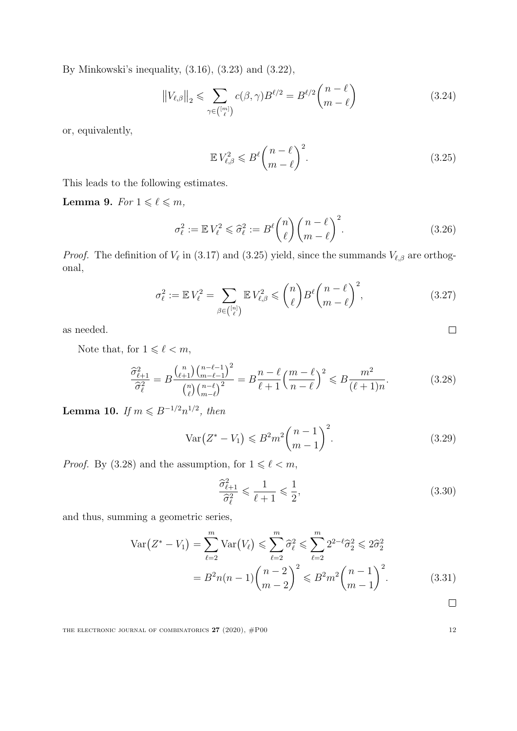By Minkowski's inequality, [\(3.16\)](#page-9-4), [\(3.23\)](#page-10-1) and [\(3.22\)](#page-10-2),

$$
||V_{\ell,\beta}||_2 \leq \sum_{\gamma \in \binom{[m]}{\ell}} c(\beta,\gamma) B^{\ell/2} = B^{\ell/2} \binom{n-\ell}{m-\ell} \tag{3.24}
$$

or, equivalently,

<span id="page-11-4"></span>
$$
\mathbb{E}V_{\ell,\beta}^2 \leqslant B^{\ell} \binom{n-\ell}{m-\ell}^2. \tag{3.25}
$$

This leads to the following estimates.

<span id="page-11-3"></span>Lemma 9. For  $1 \leq \ell \leq m$ ,

$$
\sigma_{\ell}^{2} := \mathbb{E} V_{\ell}^{2} \leq \widehat{\sigma}_{\ell}^{2} := B^{\ell} \binom{n}{\ell} \binom{n-\ell}{m-\ell}^{2}.
$$
 (3.26)

*Proof.* The definition of  $V_{\ell}$  in [\(3.17\)](#page-10-3) and [\(3.25\)](#page-11-0) yield, since the summands  $V_{\ell,\beta}$  are orthogonal,

$$
\sigma_{\ell}^2 := \mathbb{E} V_{\ell}^2 = \sum_{\beta \in \binom{[n]}{\ell}} \mathbb{E} V_{\ell,\beta}^2 \leqslant {n \choose \ell} B^{\ell} \binom{n-\ell}{m-\ell}^2, \tag{3.27}
$$

as needed.

Note that, for  $1 \leqslant \ell < m,$ 

$$
\frac{\widehat{\sigma}_{\ell+1}^2}{\widehat{\sigma}_{\ell}^2} = B \frac{{n \choose \ell+1} {n-\ell-1 \choose m-\ell-1}^2}{n \choose \ell \choose m-\ell}^2 = B \frac{n-\ell}{\ell+1} \left(\frac{m-\ell}{n-\ell}\right)^2 \leq B \frac{m^2}{(\ell+1)n}.
$$
 (3.28)

<span id="page-11-5"></span>Lemma 10. If  $m \le B^{-1/2} n^{1/2}$ , then

$$
\text{Var}\big(Z^* - V_1\big) \leqslant B^2 m^2 \binom{n-1}{m-1}^2. \tag{3.29}
$$

*Proof.* By [\(3.28\)](#page-11-1) and the assumption, for  $1 \leqslant \ell < m,$ 

$$
\frac{\widehat{\sigma}_{\ell+1}^2}{\widehat{\sigma}_{\ell}^2} \leqslant \frac{1}{\ell+1} \leqslant \frac{1}{2},\tag{3.30}
$$

and thus, summing a geometric series,

$$
\operatorname{Var}\left(Z^* - V_1\right) = \sum_{\ell=2}^m \operatorname{Var}\left(V_\ell\right) \leq \sum_{\ell=2}^m \widehat{\sigma}_\ell^2 \leq \sum_{\ell=2}^m 2^{2-\ell} \widehat{\sigma}_2^2 \leq 2\widehat{\sigma}_2^2
$$

$$
= B^2 n(n-1) \binom{n-2}{m-2}^2 \leq B^2 m^2 \binom{n-1}{m-1}^2. \tag{3.31}
$$

 $\Box$ 

<span id="page-11-2"></span><span id="page-11-1"></span><span id="page-11-0"></span> $\Box$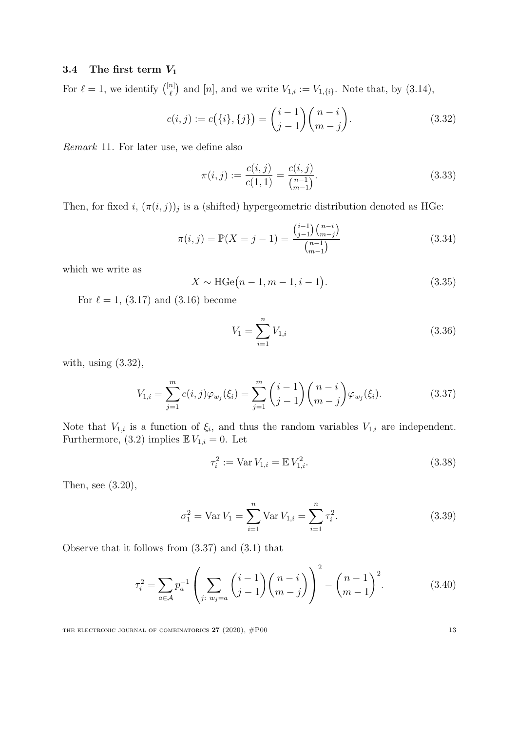## 3.4 The first term  $V_1$

For  $\ell = 1$ , we identify  $\binom{[n]}{\ell}$  $\binom{n}{\ell}$  and  $[n]$ , and we write  $V_{1,i} := V_{1,\{i\}}$ . Note that, by  $(3.14)$ ,

$$
c(i,j) := c({i}, {j}) = {i-1 \choose j-1} {n-i \choose m-j}.
$$
\n(3.32)

<span id="page-12-8"></span>Remark 11. For later use, we define also

<span id="page-12-6"></span><span id="page-12-0"></span>
$$
\pi(i,j) := \frac{c(i,j)}{c(1,1)} = \frac{c(i,j)}{\binom{n-1}{m-1}}.
$$
\n(3.33)

Then, for fixed i,  $(\pi(i, j))_j$  is a (shifted) hypergeometric distribution denoted as HGe:

$$
\pi(i,j) = \mathbb{P}(X = j - 1) = \frac{\binom{i-1}{j-1}\binom{n-i}{m-j}}{\binom{n-1}{m-1}}
$$
\n(3.34)

which we write as

$$
X \sim \text{HGe}(n-1, m-1, i-1). \tag{3.35}
$$

For  $\ell = 1$ , [\(3.17\)](#page-10-3) and [\(3.16\)](#page-9-4) become

<span id="page-12-7"></span><span id="page-12-4"></span><span id="page-12-1"></span>
$$
V_1 = \sum_{i=1}^{n} V_{1,i} \tag{3.36}
$$

with, using [\(3.32\)](#page-12-0),

$$
V_{1,i} = \sum_{j=1}^{m} c(i,j)\varphi_{w_j}(\xi_i) = \sum_{j=1}^{m} {i-1 \choose j-1} {n-i \choose m-j} \varphi_{w_j}(\xi_i).
$$
 (3.37)

Note that  $V_{1,i}$  is a function of  $\xi_i$ , and thus the random variables  $V_{1,i}$  are independent. Furthermore, [\(3.2\)](#page-8-6) implies  $\mathbb{E} V_{1,i} = 0$ . Let

<span id="page-12-2"></span>
$$
\tau_i^2 := \text{Var}\, V_{1,i} = \mathbb{E}\, V_{1,i}^2. \tag{3.38}
$$

Then, see [\(3.20\)](#page-10-4),

$$
\sigma_1^2 = \text{Var } V_1 = \sum_{i=1}^n \text{Var } V_{1,i} = \sum_{i=1}^n \tau_i^2. \tag{3.39}
$$

Observe that it follows from [\(3.37\)](#page-12-1) and [\(3.1\)](#page-8-1) that

$$
\tau_i^2 = \sum_{a \in \mathcal{A}} p_a^{-1} \left( \sum_{j: w_j = a} {i-1 \choose j-1} {n-i \choose m-j} \right)^2 - {n-1 \choose m-1}^2.
$$
 (3.40)

<span id="page-12-5"></span><span id="page-12-3"></span>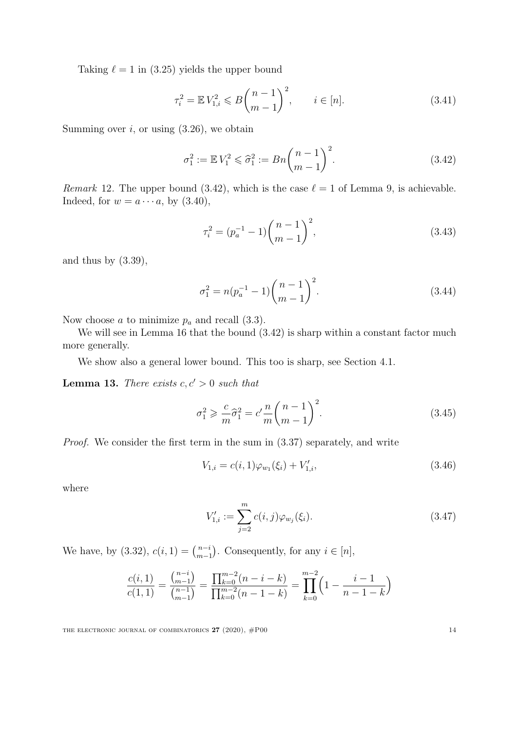Taking  $\ell = 1$  in [\(3.25\)](#page-11-0) yields the upper bound

$$
\tau_i^2 = \mathbb{E} V_{1,i}^2 \leqslant B \binom{n-1}{m-1}^2, \qquad i \in [n]. \tag{3.41}
$$

Summing over  $i$ , or using  $(3.26)$ , we obtain

<span id="page-13-4"></span>
$$
\sigma_1^2 := \mathbb{E} V_1^2 \leqslant \hat{\sigma}_1^2 := Bn \binom{n-1}{m-1}^2.
$$
 (3.42)

Remark 12. The upper bound [\(3.42\)](#page-13-0), which is the case  $\ell = 1$  of Lemma [9,](#page-11-3) is achievable. Indeed, for  $w = a \cdots a$ , by  $(3.40)$ ,

<span id="page-13-0"></span>
$$
\tau_i^2 = (p_a^{-1} - 1) \binom{n-1}{m-1}^2,\tag{3.43}
$$

and thus by  $(3.39)$ ,

<span id="page-13-6"></span>
$$
\sigma_1^2 = n(p_a^{-1} - 1) \binom{n-1}{m-1}^2.
$$
\n(3.44)

Now choose a to minimize  $p_a$  and recall [\(3.3\)](#page-8-4).

We will see in Lemma [16](#page-16-0) that the bound  $(3.42)$  is sharp within a constant factor much more generally.

We show also a general lower bound. This too is sharp, see Section [4.1.](#page-17-1)

<span id="page-13-5"></span>**Lemma 13.** There exists  $c, c' > 0$  such that

$$
\sigma_1^2 \geqslant \frac{c}{m}\widehat{\sigma}_1^2 = c' \frac{n}{m} {n-1 \choose m-1}^2.
$$
\n(3.45)

Proof. We consider the first term in the sum in [\(3.37\)](#page-12-1) separately, and write

$$
V_{1,i} = c(i,1)\varphi_{w_1}(\xi_i) + V'_{1,i},\tag{3.46}
$$

where

$$
V'_{1,i} := \sum_{j=2}^{m} c(i,j) \varphi_{w_j}(\xi_i).
$$
 (3.47)

We have, by  $(3.32), c(i, 1) = {n-i \choose m-i}$  $_{m-1}^{n-i}$ ). Consequently, for any  $i \in [n]$ ,

$$
\frac{c(i,1)}{c(1,1)} = \frac{\binom{n-i}{m-1}}{\binom{n-1}{m-1}} = \frac{\prod_{k=0}^{m-2} (n-i-k)}{\prod_{k=0}^{m-2} (n-1-k)} = \prod_{k=0}^{m-2} \left(1 - \frac{i-1}{n-1-k}\right)
$$

<span id="page-13-3"></span><span id="page-13-2"></span><span id="page-13-1"></span>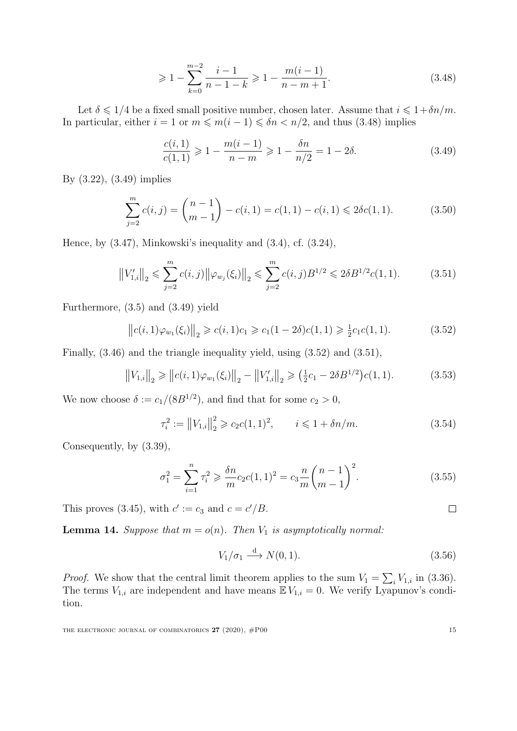<span id="page-14-1"></span>
$$
\geqslant 1 - \sum_{k=0}^{m-2} \frac{i-1}{n-1-k} \geqslant 1 - \frac{m(i-1)}{n-m+1}.
$$
\n(3.48)

Let  $\delta \leq 1/4$  be a fixed small positive number, chosen later. Assume that  $i \leq 1+\delta n/m$ . In particular, either  $i = 1$  or  $m \leq m(i - 1) \leq \delta n < n/2$ , and thus [\(3.48\)](#page-14-1) implies

<span id="page-14-4"></span><span id="page-14-2"></span>
$$
\frac{c(i,1)}{c(1,1)} \geq 1 - \frac{m(i-1)}{n-m} \geq 1 - \frac{\delta n}{n/2} = 1 - 2\delta.
$$
 (3.49)

By [\(3.22\)](#page-10-2), [\(3.49\)](#page-14-2) implies

$$
\sum_{j=2}^{m} c(i,j) = {n-1 \choose m-1} - c(i,1) = c(1,1) - c(i,1) \le 2\delta c(1,1).
$$
 (3.50)

Hence, by [\(3.47\)](#page-13-1), Minkowski's inequality and [\(3.4\)](#page-8-2), cf. [\(3.24\)](#page-11-4),

$$
||V'_{1,i}||_2 \le \sum_{j=2}^m c(i,j) ||\varphi_{w_j}(\xi_i)||_2 \le \sum_{j=2}^m c(i,j) B^{1/2} \le 2\delta B^{1/2} c(1,1).
$$
 (3.51)

Furthermore, [\(3.5\)](#page-8-3) and [\(3.49\)](#page-14-2) yield

$$
||c(i,1)\varphi_{w_1}(\xi_i)||_2 \geq c(i,1)c_1 \geq c_1(1-2\delta)c(1,1) \geq \frac{1}{2}c_1c(1,1).
$$
 (3.52)

Finally, [\(3.46\)](#page-13-2) and the triangle inequality yield, using [\(3.52\)](#page-14-3) and [\(3.51\)](#page-14-4),

$$
||V_{1,i}||_2 \ge ||c(i,1)\varphi_{w_1}(\xi_i)||_2 - ||V'_{1,i}||_2 \ge (\frac{1}{2}c_1 - 2\delta B^{1/2})c(1,1).
$$
 (3.53)

We now choose  $\delta := c_1/(8B^{1/2})$ , and find that for some  $c_2 > 0$ ,

<span id="page-14-3"></span>
$$
\tau_i^2 := \|V_{1,i}\|_2^2 \ge c_2 c (1, 1)^2, \qquad i \le 1 + \delta n/m. \tag{3.54}
$$

Consequently, by [\(3.39\)](#page-12-3),

$$
\sigma_1^2 = \sum_{i=1}^n \tau_i^2 \ge \frac{\delta n}{m} c_2 c (1, 1)^2 = c_3 \frac{n}{m} {n-1 \choose m-1}^2.
$$
 (3.55)

This proves [\(3.45\)](#page-13-3), with  $c' := c_3$  and  $c = c'/B$ .

<span id="page-14-0"></span>**Lemma 14.** Suppose that  $m = o(n)$ . Then  $V_1$  is asymptotically normal:

$$
V_1/\sigma_1 \stackrel{\text{d}}{\longrightarrow} N(0,1). \tag{3.56}
$$

*Proof.* We show that the central limit theorem applies to the sum  $V_1 = \sum_i V_{1,i}$  in [\(3.36\)](#page-12-4). The terms  $V_{1,i}$  are independent and have means  $\mathbb{E} V_{1,i} = 0$ . We verify Lyapunov's condition.

<span id="page-14-5"></span>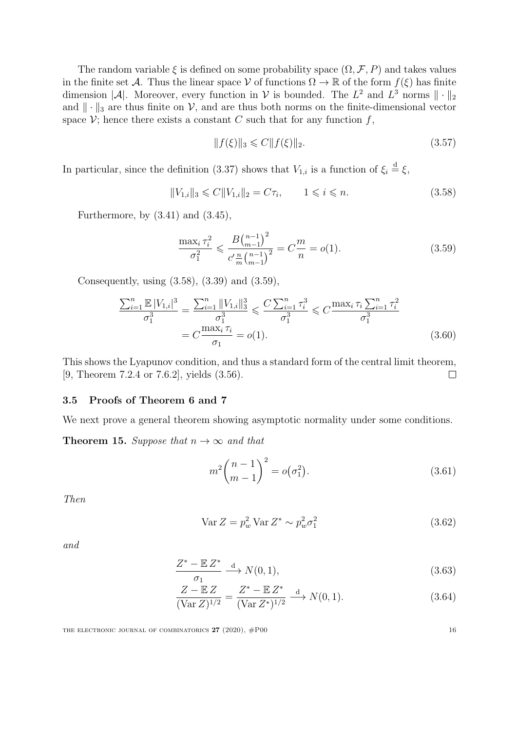The random variable  $\xi$  is defined on some probability space  $(\Omega, \mathcal{F}, P)$  and takes values in the finite set A. Thus the linear space V of functions  $\Omega \to \mathbb{R}$  of the form  $f(\xi)$  has finite dimension |A|. Moreover, every function in V is bounded. The  $L^2$  and  $L^3$  norms  $\|\cdot\|_2$ and  $\|\cdot\|_3$  are thus finite on V, and are thus both norms on the finite-dimensional vector space  $\mathcal{V}$ ; hence there exists a constant C such that for any function f,

<span id="page-15-2"></span><span id="page-15-1"></span>
$$
||f(\xi)||_3 \leq C||f(\xi)||_2. \tag{3.57}
$$

In particular, since the definition [\(3.37\)](#page-12-1) shows that  $V_{1,i}$  is a function of  $\xi_i \stackrel{d}{=} \xi$ ,

$$
||V_{1,i}||_3 \leq C||V_{1,i}||_2 = C\tau_i, \qquad 1 \leq i \leq n. \tag{3.58}
$$

Furthermore, by  $(3.41)$  and  $(3.45)$ ,

$$
\frac{\max_{i} \tau_{i}^{2}}{\sigma_{1}^{2}} \leqslant \frac{B\binom{n-1}{m-1}^{2}}{c'\frac{n}{m}\binom{n-1}{m-1}^{2}} = C\frac{m}{n} = o(1). \tag{3.59}
$$

Consequently, using [\(3.58\)](#page-15-1), [\(3.39\)](#page-12-3) and [\(3.59\)](#page-15-2),

$$
\frac{\sum_{i=1}^{n} \mathbb{E}|V_{1,i}|^3}{\sigma_1^3} = \frac{\sum_{i=1}^{n} \|V_{1,i}\|_3^3}{\sigma_1^3} \leqslant \frac{C \sum_{i=1}^{n} \tau_i^3}{\sigma_1^3} \leqslant C \frac{\max_i \tau_i \sum_{i=1}^{n} \tau_i^2}{\sigma_1^3}
$$
\n
$$
= C \frac{\max_i \tau_i}{\sigma_1} = o(1). \tag{3.60}
$$

This shows the Lyapunov condition, and thus a standard form of the central limit theorem, [\[9,](#page-24-17) Theorem 7.2.4 or 7.6.2], yields [\(3.56\)](#page-14-5).  $\Box$ 

## <span id="page-15-0"></span>3.5 Proofs of Theorem [6](#page-7-0) and [7](#page-7-1)

<span id="page-15-7"></span>We next prove a general theorem showing asymptotic normality under some conditions.

**Theorem 15.** Suppose that  $n \to \infty$  and that

$$
m^{2} \binom{n-1}{m-1}^{2} = o(\sigma_{1}^{2}).
$$
\n(3.61)

Then

$$
\operatorname{Var} Z = p_w^2 \operatorname{Var} Z^* \sim p_w^2 \sigma_1^2 \tag{3.62}
$$

and

$$
\frac{Z^* - \mathbb{E}Z^*}{\sigma_1} \xrightarrow{\mathbf{d}} N(0, 1), \tag{3.63}
$$

$$
\frac{Z - \mathbb{E} Z}{(\text{Var } Z)^{1/2}} = \frac{Z^* - \mathbb{E} Z^*}{(\text{Var } Z^*)^{1/2}} \xrightarrow{d} N(0, 1).
$$
 (3.64)

<span id="page-15-6"></span><span id="page-15-5"></span><span id="page-15-4"></span><span id="page-15-3"></span>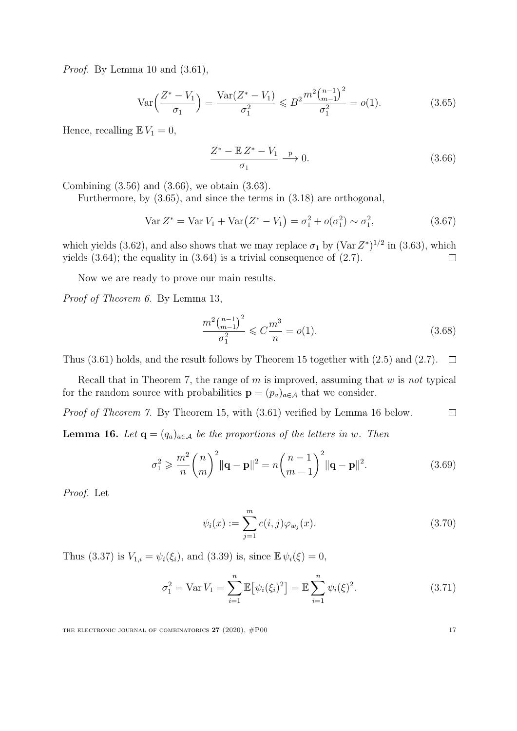Proof. By Lemma [10](#page-11-5) and  $(3.61)$ ,

$$
\operatorname{Var}\left(\frac{Z^*-V_1}{\sigma_1}\right) = \frac{\operatorname{Var}(Z^*-V_1)}{\sigma_1^2} \leqslant B^2 \frac{m^2 \binom{n-1}{m-1}^2}{\sigma_1^2} = o(1). \tag{3.65}
$$

Hence, recalling  $\mathbb{E} V_1 = 0$ ,

<span id="page-16-2"></span><span id="page-16-1"></span>
$$
\frac{Z^* - \mathbb{E} Z^* - V_1}{\sigma_1} \xrightarrow{\mathbf{p}} 0. \tag{3.66}
$$

Combining [\(3.56\)](#page-14-5) and [\(3.66\)](#page-16-1), we obtain [\(3.63\)](#page-15-4).

Furthermore, by [\(3.65\)](#page-16-2), and since the terms in [\(3.18\)](#page-10-0) are orthogonal,

$$
\text{Var}\,Z^* = \text{Var}\,V_1 + \text{Var}\big(Z^* - V_1\big) = \sigma_1^2 + o(\sigma_1^2) \sim \sigma_1^2,\tag{3.67}
$$

which yields [\(3.62\)](#page-15-5), and also shows that we may replace  $\sigma_1$  by (Var  $Z^*$ )<sup>1/2</sup> in [\(3.63\)](#page-15-4), which yields  $(3.64)$ ; the equality in  $(3.64)$  is a trivial consequence of  $(2.7)$ .  $\Box$ 

Now we are ready to prove our main results.

Proof of Theorem [6.](#page-7-0) By Lemma [13,](#page-13-5)

$$
\frac{m^2 \binom{n-1}{m-1}^2}{\sigma_1^2} \leqslant C \frac{m^3}{n} = o(1). \tag{3.68}
$$

Thus [\(3.61\)](#page-15-3) holds, and the result follows by Theorem [15](#page-15-7) together with [\(2.5\)](#page-3-2) and [\(2.7\)](#page-3-1).  $\Box$ 

Recall that in Theorem [7,](#page-7-1) the range of  $m$  is improved, assuming that  $w$  is not typical for the random source with probabilities  $\mathbf{p} = (p_a)_{a \in \mathcal{A}}$  that we consider.

Proof of Theorem [7.](#page-7-1) By Theorem [15,](#page-15-7) with [\(3.61\)](#page-15-3) verified by Lemma [16](#page-16-0) below.  $\Box$ 

<span id="page-16-0"></span>**Lemma 16.** Let  $\mathbf{q} = (q_a)_{a \in \mathcal{A}}$  be the proportions of the letters in w. Then

$$
\sigma_1^2 \geqslant \frac{m^2}{n} {n \choose m}^2 ||\mathbf{q} - \mathbf{p}||^2 = n {n-1 \choose m-1}^2 ||\mathbf{q} - \mathbf{p}||^2. \tag{3.69}
$$

Proof. Let

$$
\psi_i(x) := \sum_{j=1}^m c(i,j)\varphi_{w_j}(x). \tag{3.70}
$$

Thus [\(3.37\)](#page-12-1) is  $V_{1,i} = \psi_i(\xi_i)$ , and [\(3.39\)](#page-12-3) is, since  $\mathbb{E} \psi_i(\xi) = 0$ ,

$$
\sigma_1^2 = \text{Var}\,V_1 = \sum_{i=1}^n \mathbb{E}\big[\psi_i(\xi_i)^2\big] = \mathbb{E}\sum_{i=1}^n \psi_i(\xi)^2. \tag{3.71}
$$

<span id="page-16-4"></span><span id="page-16-3"></span>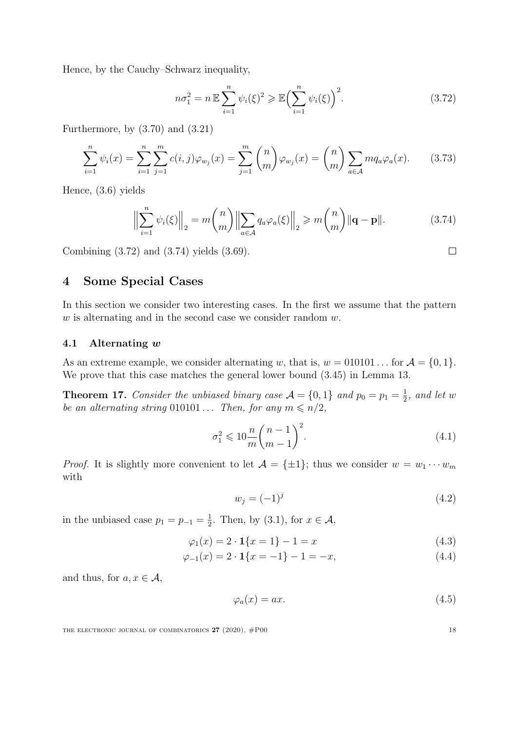Hence, by the Cauchy–Schwarz inequality,

<span id="page-17-3"></span><span id="page-17-2"></span>
$$
n\sigma_1^2 = n \mathbb{E} \sum_{i=1}^n \psi_i(\xi)^2 \ge \mathbb{E} \Big(\sum_{i=1}^n \psi_i(\xi)\Big)^2.
$$
 (3.72)

Furthermore, by [\(3.70\)](#page-16-3) and [\(3.21\)](#page-10-5)

$$
\sum_{i=1}^{n} \psi_i(x) = \sum_{i=1}^{n} \sum_{j=1}^{m} c(i, j) \varphi_{w_j}(x) = \sum_{j=1}^{m} {n \choose m} \varphi_{w_j}(x) = {n \choose m} \sum_{a \in \mathcal{A}} m q_a \varphi_a(x).
$$
 (3.73)

Hence, [\(3.6\)](#page-8-5) yields

$$
\left\| \sum_{i=1}^{n} \psi_i(\xi) \right\|_2 = m \binom{n}{m} \left\| \sum_{a \in \mathcal{A}} q_a \varphi_a(\xi) \right\|_2 \geq m \binom{n}{m} \|\mathbf{q} - \mathbf{p}\|.
$$
 (3.74)

Combining [\(3.72\)](#page-17-2) and [\(3.74\)](#page-17-3) yields [\(3.69\)](#page-16-4).

# <span id="page-17-0"></span>4 Some Special Cases

In this section we consider two interesting cases. In the first we assume that the pattern  $w$  is alternating and in the second case we consider random  $w$ .

#### <span id="page-17-1"></span>4.1 Alternating w

As an extreme example, we consider alternating w, that is,  $w = 010101...$  for  $\mathcal{A} = \{0, 1\}.$ We prove that this case matches the general lower bound [\(3.45\)](#page-13-3) in Lemma [13.](#page-13-5)

**Theorem 17.** Consider the unbiased binary case  $\mathcal{A} = \{0, 1\}$  and  $p_0 = p_1 = \frac{1}{2}$  $\frac{1}{2}$ , and let w be an alternating string 010101... Then, for any  $m \le n/2$ ,

$$
\sigma_1^2 \leqslant 10 \frac{n}{m} {n-1 \choose m-1}^2.
$$
\n
$$
(4.1)
$$

*Proof.* It is slightly more convenient to let  $A = {\pm 1}$ ; thus we consider  $w = w_1 \cdots w_m$ with

$$
w_j = (-1)^j \tag{4.2}
$$

in the unbiased case  $p_1 = p_{-1} = \frac{1}{2}$  $\frac{1}{2}$ . Then, by [\(3.1\)](#page-8-1), for  $x \in \mathcal{A}$ ,

$$
\varphi_1(x) = 2 \cdot \mathbf{1} \{ x = 1 \} - 1 = x \tag{4.3}
$$

$$
\varphi_{-1}(x) = 2 \cdot \mathbf{1} \{ x = -1 \} - 1 = -x,\tag{4.4}
$$

and thus, for  $a, x \in \mathcal{A}$ ,

$$
\varphi_a(x) = ax.\tag{4.5}
$$

THE ELECTRONIC JOURNAL OF COMBINATORICS  $27 (2020)$ ,  $#P00$  18

<span id="page-17-6"></span><span id="page-17-5"></span><span id="page-17-4"></span>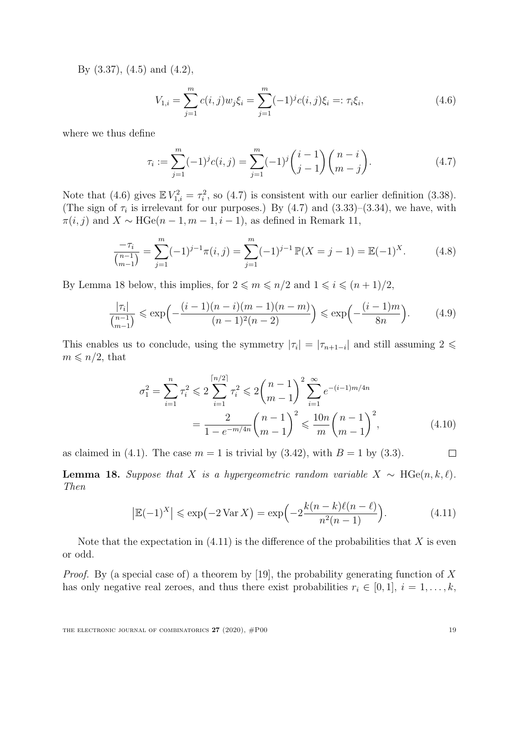By [\(3.37\)](#page-12-1), [\(4.5\)](#page-17-4) and [\(4.2\)](#page-17-5),

<span id="page-18-0"></span>
$$
V_{1,i} = \sum_{j=1}^{m} c(i,j) w_j \xi_i = \sum_{j=1}^{m} (-1)^j c(i,j) \xi_i =: \tau_i \xi_i,
$$
\n(4.6)

where we thus define

<span id="page-18-1"></span>
$$
\tau_i := \sum_{j=1}^m (-1)^j c(i,j) = \sum_{j=1}^m (-1)^j {i-1 \choose j-1} {n-i \choose m-j}.
$$
\n(4.7)

Note that [\(4.6\)](#page-18-0) gives  $\mathbb{E} V_{1,i}^2 = \tau_i^2$ , so [\(4.7\)](#page-18-1) is consistent with our earlier definition [\(3.38\)](#page-12-5). (The sign of  $\tau_i$  is irrelevant for our purposes.) By [\(4.7\)](#page-18-1) and [\(3.33\)](#page-12-6)–[\(3.34\)](#page-12-7), we have, with  $\pi(i, j)$  and  $X \sim \text{HGe}(n - 1, m - 1, i - 1)$ , as defined in Remark [11,](#page-12-8)

$$
\frac{-\tau_i}{\binom{n-1}{m-1}} = \sum_{j=1}^m (-1)^{j-1} \pi(i,j) = \sum_{j=1}^m (-1)^{j-1} \mathbb{P}(X = j-1) = \mathbb{E}(-1)^X.
$$
 (4.8)

By Lemma [18](#page-18-2) below, this implies, for  $2 \leq m \leq n/2$  and  $1 \leq i \leq (n+1)/2$ ,

$$
\frac{|\tau_i|}{\binom{n-1}{m-1}} \leqslant \exp\left(-\frac{(i-1)(n-i)(m-1)(n-m)}{(n-1)^2(n-2)}\right) \leqslant \exp\left(-\frac{(i-1)m}{8n}\right). \tag{4.9}
$$

This enables us to conclude, using the symmetry  $|\tau_i| = |\tau_{n+1-i}|$  and still assuming  $2 \leq$  $m \leqslant n/2$ , that

$$
\sigma_1^2 = \sum_{i=1}^n \tau_i^2 \leqslant 2 \sum_{i=1}^{\lceil n/2 \rceil} \tau_i^2 \leqslant 2 \binom{n-1}{m-1}^2 \sum_{i=1}^\infty e^{-(i-1)m/4n} = \frac{2}{1 - e^{-m/4n}} \binom{n-1}{m-1}^2 \leqslant \frac{10n}{m} \binom{n-1}{m-1}^2,
$$
\n(4.10)

as claimed in [\(4.1\)](#page-17-6). The case  $m = 1$  is trivial by [\(3.42\)](#page-13-0), with  $B = 1$  by [\(3.3\)](#page-8-4).  $\Box$ 

<span id="page-18-2"></span>**Lemma 18.** Suppose that X is a hypergeometric random variable  $X \sim \text{HGe}(n, k, \ell)$ . Then

<span id="page-18-3"></span>
$$
\left|\mathbb{E}(-1)^{X}\right| \leqslant \exp\left(-2\operatorname{Var} X\right) = \exp\left(-2\frac{k(n-k)\ell(n-\ell)}{n^2(n-1)}\right). \tag{4.11}
$$

Note that the expectation in  $(4.11)$  is the difference of the probabilities that X is even or odd.

*Proof.* By (a special case of) a theorem by [\[19\]](#page-25-1), the probability generating function of X has only negative real zeroes, and thus there exist probabilities  $r_i \in [0,1], i = 1, \ldots, k$ ,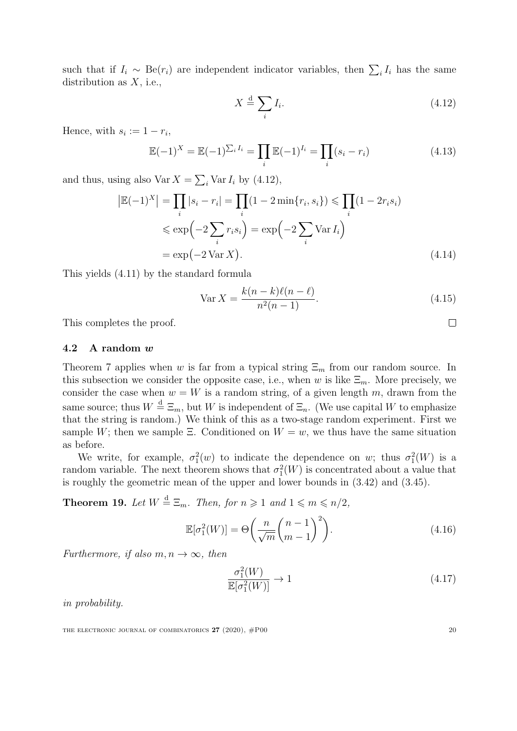such that if  $I_i \sim \text{Be}(r_i)$  are independent indicator variables, then  $\sum_i I_i$  has the same distribution as  $X$ , i.e.,

<span id="page-19-2"></span>
$$
X \stackrel{\text{d}}{=} \sum_{i} I_i. \tag{4.12}
$$

Hence, with  $s_i := 1 - r_i$ ,

 $\overline{\phantom{a}}$ 

$$
\mathbb{E}(-1)^{X} = \mathbb{E}(-1)^{\sum_{i} I_i} = \prod_{i} \mathbb{E}(-1)^{I_i} = \prod_{i} (s_i - r_i)
$$
\n(4.13)

and thus, using also  $\text{Var } X = \sum_i \text{Var } I_i$  by [\(4.12\)](#page-19-2),

$$
\left|\mathbb{E}(-1)^{X}\right| = \prod_{i} |s_{i} - r_{i}| = \prod_{i} (1 - 2 \min\{r_{i}, s_{i}\}) \leqslant \prod_{i} (1 - 2r_{i}s_{i})
$$

$$
\leqslant \exp\left(-2 \sum_{i} r_{i}s_{i}\right) = \exp\left(-2 \sum_{i} \text{Var } I_{i}\right)
$$

$$
= \exp\left(-2 \text{Var } X\right). \tag{4.14}
$$

This yields [\(4.11\)](#page-18-3) by the standard formula

<span id="page-19-3"></span>
$$
\text{Var}\,X = \frac{k(n-k)\ell(n-\ell)}{n^2(n-1)}.\tag{4.15}
$$

This completes the proof.

#### <span id="page-19-6"></span>4.2 A random w

Theorem [7](#page-7-1) applies when w is far from a typical string  $\Xi_m$  from our random source. In this subsection we consider the opposite case, i.e., when w is like  $\Xi_m$ . More precisely, we consider the case when  $w = W$  is a random string, of a given length m, drawn from the same source; thus  $W \stackrel{d}{=} \Xi_m$ , but W is independent of  $\Xi_n$ . (We use capital W to emphasize that the string is random.) We think of this as a two-stage random experiment. First we sample W; then we sample  $\Xi$ . Conditioned on  $W = w$ , we thus have the same situation as before.

We write, for example,  $\sigma_1^2(w)$  to indicate the dependence on w; thus  $\sigma_1^2(W)$  is a random variable. The next theorem shows that  $\sigma_1^2(W)$  is concentrated about a value that is roughly the geometric mean of the upper and lower bounds in [\(3.42\)](#page-13-0) and [\(3.45\)](#page-13-3).

<span id="page-19-1"></span>**Theorem 19.** Let  $W \stackrel{d}{=} \Xi_m$ . Then, for  $n \geq 1$  and  $1 \leq m \leq n/2$ ,

$$
\mathbb{E}[\sigma_1^2(W)] = \Theta\left(\frac{n}{\sqrt{m}} \binom{n-1}{m-1}^2\right). \tag{4.16}
$$

Furthermore, if also  $m, n \to \infty$ , then

<span id="page-19-5"></span><span id="page-19-4"></span>
$$
\frac{\sigma_1^2(W)}{\mathbb{E}[\sigma_1^2(W)]} \to 1\tag{4.17}
$$

in probability.

<span id="page-19-0"></span>THE ELECTRONIC JOURNAL OF COMBINATORICS  $27$  (2020),  $\#P00$  20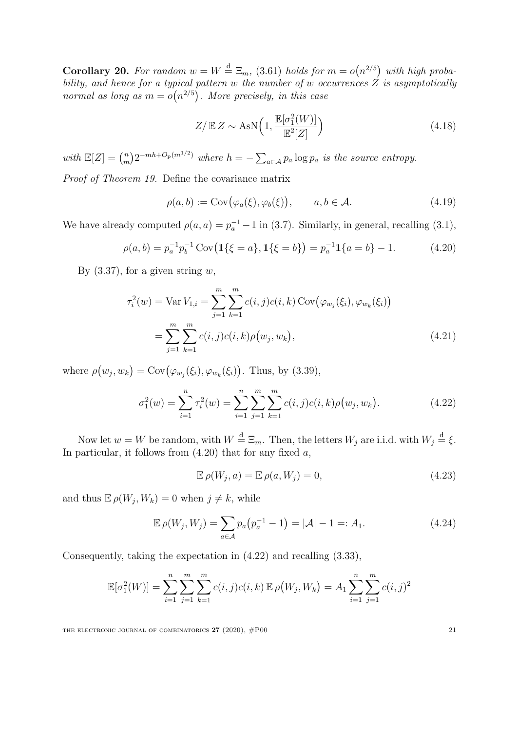**Corollary 20.** For random  $w = W \stackrel{d}{=} \Xi_m$ , [\(3.61\)](#page-15-3) holds for  $m = o(n^{2/5})$  with high probability, and hence for a typical pattern w the number of w occurrences  $Z$  is asymptotically normal as long as  $m = o(n^{2/5})$ . More precisely, in this case

<span id="page-20-0"></span>
$$
Z/\mathbb{E} Z \sim \text{AsN}\left(1, \frac{\mathbb{E}[\sigma_1^2(W)]}{\mathbb{E}^2[Z]}\right) \tag{4.18}
$$

with  $\mathbb{E}[Z] = \binom{n}{m}$  $\binom{n}{m} 2^{-mh+O_p(m^{1/2})}$  where  $h = -\sum_{a \in \mathcal{A}} p_a \log p_a$  is the source entropy.

Proof of Theorem [19.](#page-19-1) Define the covariance matrix

$$
\rho(a,b) := \text{Cov}(\varphi_a(\xi), \varphi_b(\xi)), \qquad a, b \in \mathcal{A}.
$$
\n(4.19)

We have already computed  $\rho(a, a) = p_a^{-1} - 1$  in [\(3.7\)](#page-8-7). Similarly, in general, recalling [\(3.1\)](#page-8-1),

$$
\rho(a,b) = p_a^{-1} p_b^{-1} \operatorname{Cov} \left( \mathbf{1} \{ \xi = a \}, \mathbf{1} \{ \xi = b \} \right) = p_a^{-1} \mathbf{1} \{ a = b \} - 1. \tag{4.20}
$$

By  $(3.37)$ , for a given string w,

$$
\tau_i^2(w) = \text{Var}\,V_{1,i} = \sum_{j=1}^m \sum_{k=1}^m c(i,j)c(i,k)\,\text{Cov}\big(\varphi_{w_j}(\xi_i), \varphi_{w_k}(\xi_i)\big)
$$

$$
= \sum_{j=1}^m \sum_{k=1}^m c(i,j)c(i,k)\rho(w_j, w_k), \tag{4.21}
$$

where  $\rho(w_j, w_k) = \text{Cov}(\varphi_{w_j}(\xi_i), \varphi_{w_k}(\xi_i))$ . Thus, by [\(3.39\)](#page-12-3),

$$
\sigma_1^2(w) = \sum_{i=1}^n \tau_i^2(w) = \sum_{i=1}^n \sum_{j=1}^m \sum_{k=1}^m c(i,j)c(i,k)\rho(w_j, w_k).
$$
 (4.22)

Now let  $w = W$  be random, with  $W \stackrel{d}{=} \Xi_m$ . Then, the letters  $W_j$  are i.i.d. with  $W_j \stackrel{d}{=} \xi$ . In particular, it follows from  $(4.20)$  that for any fixed  $a$ ,

<span id="page-20-2"></span><span id="page-20-1"></span>
$$
\mathbb{E}\,\rho(W_j, a) = \mathbb{E}\,\rho(a, W_j) = 0,\tag{4.23}
$$

and thus  $\mathbb{E}\,\rho(W_j, W_k) = 0$  when  $j \neq k$ , while

$$
\mathbb{E}\,\rho(W_j, W_j) = \sum_{a \in \mathcal{A}} p_a \left( p_a^{-1} - 1 \right) = |\mathcal{A}| - 1 =: A_1. \tag{4.24}
$$

Consequently, taking the expectation in [\(4.22\)](#page-20-1) and recalling [\(3.33\)](#page-12-6),

$$
\mathbb{E}[\sigma_1^2(W)] = \sum_{i=1}^n \sum_{j=1}^m \sum_{k=1}^m c(i,j)c(i,k) \mathbb{E} \rho(W_j, W_k) = A_1 \sum_{i=1}^n \sum_{j=1}^m c(i,j)^2
$$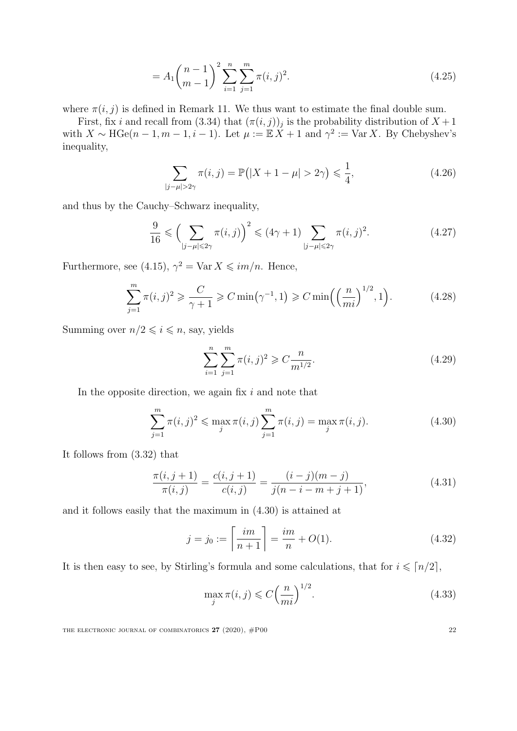<span id="page-21-2"></span>
$$
=A_1 \binom{n-1}{m-1}^2 \sum_{i=1}^n \sum_{j=1}^m \pi(i,j)^2.
$$
\n(4.25)

where  $\pi(i, j)$  is defined in Remark [11.](#page-12-8) We thus want to estimate the final double sum.

First, fix i and recall from [\(3.34\)](#page-12-7) that  $(\pi(i, j))_j$  is the probability distribution of  $X + 1$ with  $X \sim \text{HGe}(n-1, m-1, i-1)$ . Let  $\mu := \mathbb{E}[X + 1]$  and  $\gamma^2 := \text{Var } X$ . By Chebyshev's inequality,

$$
\sum_{|j-\mu|>2\gamma} \pi(i,j) = \mathbb{P}(|X+1-\mu|>2\gamma) \leq \frac{1}{4},
$$
\n(4.26)

and thus by the Cauchy–Schwarz inequality,

$$
\frac{9}{16} \leqslant \left(\sum_{|j-\mu| \leqslant 2\gamma} \pi(i,j)\right)^2 \leqslant (4\gamma+1) \sum_{|j-\mu| \leqslant 2\gamma} \pi(i,j)^2. \tag{4.27}
$$

Furthermore, see [\(4.15\)](#page-19-3),  $\gamma^2 = \text{Var } X \leq im/n$ . Hence,

$$
\sum_{j=1}^{m} \pi(i,j)^2 \geq \frac{C}{\gamma+1} \geq C \min(\gamma^{-1}, 1) \geq C \min\left(\left(\frac{n}{mi}\right)^{1/2}, 1\right). \tag{4.28}
$$

Summing over  $n/2 \leq i \leq n$ , say, yields

<span id="page-21-3"></span><span id="page-21-0"></span>
$$
\sum_{i=1}^{n} \sum_{j=1}^{m} \pi(i,j)^2 \geqslant C \frac{n}{m^{1/2}}.
$$
\n(4.29)

In the opposite direction, we again fix  $i$  and note that

$$
\sum_{j=1}^{m} \pi(i,j)^2 \leq \max_{j} \pi(i,j) \sum_{j=1}^{m} \pi(i,j) = \max_{j} \pi(i,j).
$$
 (4.30)

It follows from [\(3.32\)](#page-12-0) that

$$
\frac{\pi(i,j+1)}{\pi(i,j)} = \frac{c(i,j+1)}{c(i,j)} = \frac{(i-j)(m-j)}{j(n-i-m+j+1)},
$$
\n(4.31)

and it follows easily that the maximum in [\(4.30\)](#page-21-0) is attained at

<span id="page-21-5"></span><span id="page-21-4"></span>
$$
j = j_0 := \left\lceil \frac{im}{n+1} \right\rceil = \frac{im}{n} + O(1). \tag{4.32}
$$

It is then easy to see, by Stirling's formula and some calculations, that for  $i \leq n/2$ ,

<span id="page-21-1"></span>
$$
\max_{j} \pi(i,j) \leq C \left(\frac{n}{mi}\right)^{1/2}.\tag{4.33}
$$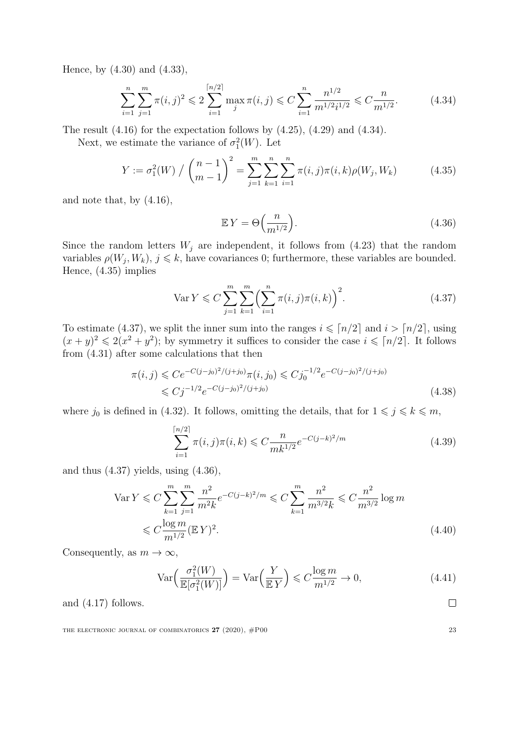Hence, by [\(4.30\)](#page-21-0) and [\(4.33\)](#page-21-1),

$$
\sum_{i=1}^{n} \sum_{j=1}^{m} \pi(i,j)^2 \leqslant 2 \sum_{i=1}^{\lceil n/2 \rceil} \max_{j} \pi(i,j) \leqslant C \sum_{i=1}^{n} \frac{n^{1/2}}{m^{1/2} i^{1/2}} \leqslant C \frac{n}{m^{1/2}}.
$$
 (4.34)

The result  $(4.16)$  for the expectation follows by  $(4.25)$ ,  $(4.29)$  and  $(4.34)$ .

Next, we estimate the variance of  $\sigma_1^2(W)$ . Let

$$
Y := \sigma_1^2(W) / \binom{n-1}{m-1}^2 = \sum_{j=1}^m \sum_{k=1}^n \sum_{i=1}^n \pi(i,j)\pi(i,k)\rho(W_j, W_k)
$$
(4.35)

and note that, by [\(4.16\)](#page-19-4),

<span id="page-22-3"></span><span id="page-22-2"></span><span id="page-22-1"></span><span id="page-22-0"></span>
$$
\mathbb{E}Y = \Theta\left(\frac{n}{m^{1/2}}\right). \tag{4.36}
$$

Since the random letters  $W_j$  are independent, it follows from [\(4.23\)](#page-20-2) that the random variables  $\rho(W_j, W_k)$ ,  $j \leq k$ , have covariances 0; furthermore, these variables are bounded. Hence, [\(4.35\)](#page-22-1) implies

$$
\text{Var}\,Y \leqslant C \sum_{j=1}^{m} \sum_{k=1}^{m} \left( \sum_{i=1}^{n} \pi(i,j)\pi(i,k) \right)^2. \tag{4.37}
$$

To estimate [\(4.37\)](#page-22-2), we split the inner sum into the ranges  $i \leq \lceil n/2 \rceil$  and  $i > \lceil n/2 \rceil$ , using  $(x+y)^2 \leq 2(x^2+y^2)$ ; by symmetry it suffices to consider the case  $i \leq n/2$ . It follows from [\(4.31\)](#page-21-4) after some calculations that then

$$
\pi(i,j) \leq C e^{-C(j-j_0)^2/(j+j_0)} \pi(i,j_0) \leq C j_0^{-1/2} e^{-C(j-j_0)^2/(j+j_0)} \leq C j^{-1/2} e^{-C(j-j_0)^2/(j+j_0)} \tag{4.38}
$$

where  $j_0$  is defined in [\(4.32\)](#page-21-5). It follows, omitting the details, that for  $1 \leq j \leq k \leq m$ ,

$$
\sum_{i=1}^{\lceil n/2 \rceil} \pi(i,j)\pi(i,k) \leq C \frac{n}{mk^{1/2}} e^{-C(j-k)^2/m}
$$
\n(4.39)

and thus  $(4.37)$  yields, using  $(4.36)$ ,

$$
\operatorname{Var} Y \leqslant C \sum_{k=1}^{m} \sum_{j=1}^{m} \frac{n^2}{m^2 k} e^{-C(j-k)^2/m} \leqslant C \sum_{k=1}^{m} \frac{n^2}{m^{3/2} k} \leqslant C \frac{n^2}{m^{3/2}} \log m
$$
  

$$
\leqslant C \frac{\log m}{m^{1/2}} (\mathbb{E} Y)^2.
$$
 (4.40)

Consequently, as  $m \to \infty$ ,

$$
\operatorname{Var}\left(\frac{\sigma_1^2(W)}{\mathbb{E}[\sigma_1^2(W)]}\right) = \operatorname{Var}\left(\frac{Y}{\mathbb{E}Y}\right) \leq C \frac{\log m}{m^{1/2}} \to 0,
$$
\n(4.41)

and [\(4.17\)](#page-19-5) follows.

THE ELECTRONIC JOURNAL OF COMBINATORICS  $27$  (2020),  $\#P00$  23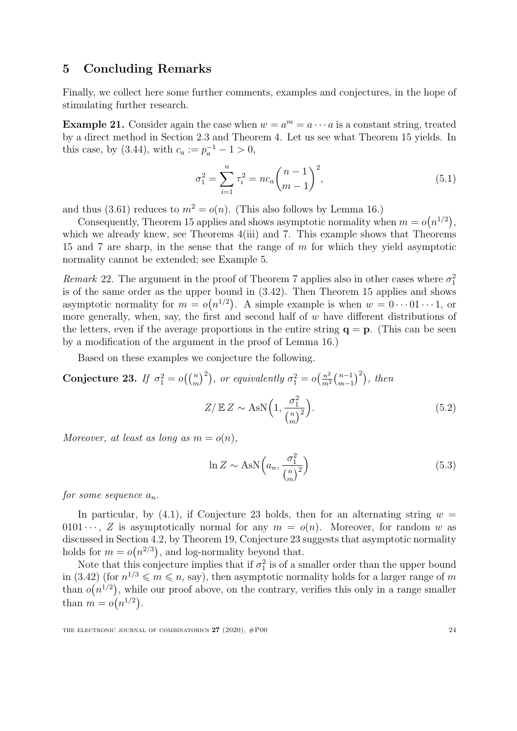## 5 Concluding Remarks

Finally, we collect here some further comments, examples and conjectures, in the hope of stimulating further research.

**Example 21.** Consider again the case when  $w = a^m = a \cdots a$  is a constant string, treated by a direct method in Section [2.3](#page-5-11) and Theorem [4.](#page-5-0) Let us see what Theorem [15](#page-15-7) yields. In this case, by [\(3.44\)](#page-13-6), with  $c_a := p_a^{-1} - 1 > 0$ ,

$$
\sigma_1^2 = \sum_{i=1}^n \tau_i^2 = nc_a \binom{n-1}{m-1}^2,\tag{5.1}
$$

and thus [\(3.61\)](#page-15-3) reduces to  $m^2 = o(n)$ . (This also follows by Lemma [16.](#page-16-0))

Consequently, Theorem [15](#page-15-7) applies and shows asymptotic normality when  $m = o(n^{1/2}),$ which we already knew, see Theorems [4](#page-5-0)[\(iii\)](#page-5-8) and [7.](#page-7-1) This example shows that Theorems [15](#page-15-7) and [7](#page-7-1) are sharp, in the sense that the range of m for which they yield asymptotic normality cannot be extended; see Example [5.](#page-6-1)

Remark 22. The argument in the proof of Theorem [7](#page-7-1) applies also in other cases where  $\sigma_1^2$ is of the same order as the upper bound in [\(3.42\)](#page-13-0). Then Theorem [15](#page-15-7) applies and shows asymptotic normality for  $m = o(n^{1/2})$ . A simple example is when  $w = 0 \cdots 01 \cdots 1$ , or more generally, when, say, the first and second half of  $w$  have different distributions of the letters, even if the average proportions in the entire string  $q = p$ . (This can be seen by a modification of the argument in the proof of Lemma [16.](#page-16-0))

Based on these examples we conjecture the following.

<span id="page-23-0"></span>Conjecture 23. If  $\sigma_1^2 = o(\binom{n}{m}^2)$ , or equivalently  $\sigma_1^2 = o(\frac{n^2}{m^2})$  $\frac{n^2}{m^2} \binom{n-1}{m-1}$  $\binom{n-1}{m-1}^2$ , then

$$
Z/\mathbb{E} Z \sim \text{AsN}\Big(1, \frac{\sigma_1^2}{\binom{n}{m}^2}\Big). \tag{5.2}
$$

Moreover, at least as long as  $m = o(n)$ ,

$$
\ln Z \sim \text{AsN}\left(a_n, \frac{\sigma_1^2}{\binom{n}{m}^2}\right) \tag{5.3}
$$

for some sequence  $a_n$ .

In particular, by [\(4.1\)](#page-17-6), if Conjecture [23](#page-23-0) holds, then for an alternating string  $w =$ 0101 · · · , Z is asymptotically normal for any  $m = o(n)$ . Moreover, for random w as discussed in Section [4.2,](#page-19-6) by Theorem [19,](#page-19-1) Conjecture [23](#page-23-0) suggests that asymptotic normality holds for  $m = o(n^{2/3})$ , and log-normality beyond that.

Note that this conjecture implies that if  $\sigma_1^2$  is of a smaller order than the upper bound in [\(3.42\)](#page-13-0) (for  $n^{1/3} \leq m \leq n$ , say), then asymptotic normality holds for a larger range of m than  $o(n^{1/2})$ , while our proof above, on the contrary, verifies this only in a range smaller than  $m = o(n^{1/2})$ .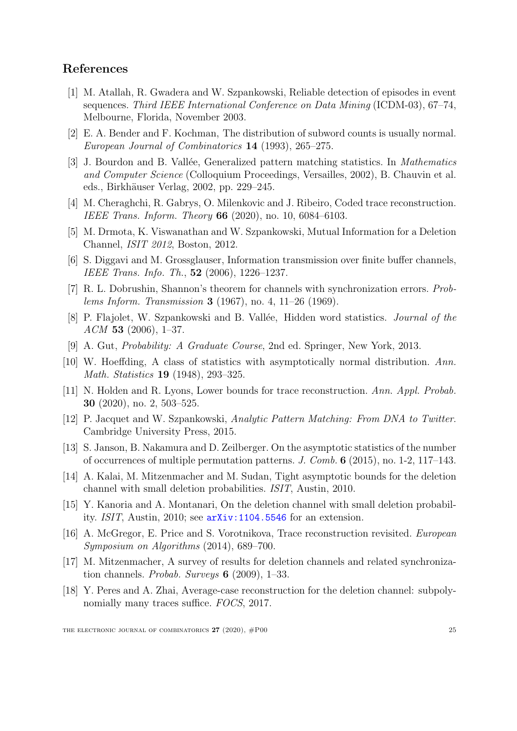## References

- <span id="page-24-5"></span>[1] M. Atallah, R. Gwadera and W. Szpankowski, Reliable detection of episodes in event sequences. Third IEEE International Conference on Data Mining (ICDM-03), 67–74, Melbourne, Florida, November 2003.
- <span id="page-24-2"></span>[2] E. A. Bender and F. Kochman, The distribution of subword counts is usually normal. European Journal of Combinatorics 14 (1993), 265–275.
- <span id="page-24-3"></span>[3] J. Bourdon and B. Vallée, Generalized pattern matching statistics. In *Mathematics* and Computer Science (Colloquium Proceedings, Versailles, 2002), B. Chauvin et al. eds., Birkhäuser Verlag, 2002, pp. 229–245.
- <span id="page-24-6"></span>[4] M. Cheraghchi, R. Gabrys, O. Milenkovic and J. Ribeiro, Coded trace reconstruction. IEEE Trans. Inform. Theory 66 (2020), no. 10, 6084–6103.
- <span id="page-24-7"></span>[5] M. Drmota, K. Viswanathan and W. Szpankowski, Mutual Information for a Deletion Channel, ISIT 2012, Boston, 2012.
- <span id="page-24-8"></span>[6] S. Diggavi and M. Grossglauser, Information transmission over finite buffer channels, IEEE Trans. Info. Th., 52 (2006), 1226–1237.
- <span id="page-24-10"></span>[7] R. L. Dobrushin, Shannon's theorem for channels with synchronization errors. Problems Inform. Transmission 3 (1967), no. 4, 11–26 (1969).
- <span id="page-24-1"></span>[8] P. Flajolet, W. Szpankowski and B. Vallée, Hidden word statistics. *Journal of the*  $ACM$  53 (2006), 1–37.
- <span id="page-24-17"></span>[9] A. Gut, Probability: A Graduate Course, 2nd ed. Springer, New York, 2013.
- <span id="page-24-4"></span>[10] W. Hoeffding, A class of statistics with asymptotically normal distribution. Ann. Math. Statistics **19** (1948), 293–325.
- <span id="page-24-13"></span>[11] N. Holden and R. Lyons, Lower bounds for trace reconstruction. Ann. Appl. Probab. 30 (2020), no. 2, 503–525.
- <span id="page-24-0"></span>[12] P. Jacquet and W. Szpankowski, Analytic Pattern Matching: From DNA to Twitter. Cambridge University Press, 2015.
- <span id="page-24-16"></span>[13] S. Janson, B. Nakamura and D. Zeilberger. On the asymptotic statistics of the number of occurrences of multiple permutation patterns. J. Comb. 6 (2015), no. 1-2, 117–143.
- <span id="page-24-11"></span>[14] A. Kalai, M. Mitzenmacher and M. Sudan, Tight asymptotic bounds for the deletion channel with small deletion probabilities. ISIT, Austin, 2010.
- <span id="page-24-12"></span>[15] Y. Kanoria and A. Montanari, On the deletion channel with small deletion probability. ISIT, Austin, 2010; see [arXiv:1104.5546](https://arxiv.org/abs/1104.5546) for an extension.
- <span id="page-24-14"></span>[16] A. McGregor, E. Price and S. Vorotnikova, Trace reconstruction revisited. European Symposium on Algorithms (2014), 689–700.
- <span id="page-24-9"></span>[17] M. Mitzenmacher, A survey of results for deletion channels and related synchronization channels. Probab. Surveys 6 (2009), 1–33.
- <span id="page-24-15"></span>[18] Y. Peres and A. Zhai, Average-case reconstruction for the deletion channel: subpolynomially many traces suffice. FOCS, 2017.